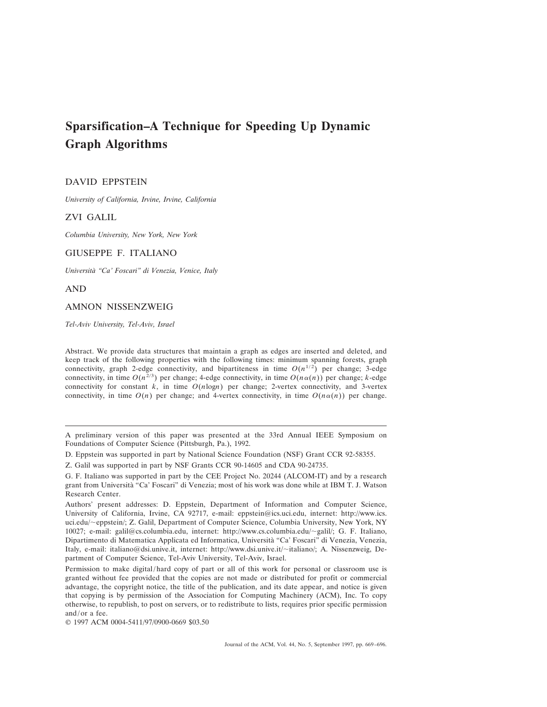# **Sparsification–A Technique for Speeding Up Dynamic Graph Algorithms**

# DAVID EPPSTEIN

*University of California, Irvine, Irvine, California*

### ZVI GALIL

*Columbia University, New York, New York*

# GIUSEPPE F. ITALIANO

*Universita` "Ca' Foscari" di Venezia, Venice, Italy*

# AND

### AMNON NISSENZWEIG

*Tel-Aviv University, Tel-Aviv, Israel*

Abstract. We provide data structures that maintain a graph as edges are inserted and deleted, and keep track of the following properties with the following times: minimum spanning forests, graph connectivity, graph 2-edge connectivity, and bipartiteness in time  $O(n^{1/2})$  per change; 3-edge connectivity, in time  $O(n^{2/3})$  per change; 4-edge connectivity, in time  $O(n\alpha(n))$  per change; *k*-edge connectivity for constant  $k$ , in time  $O(n \log n)$  per change; 2-vertex connectivity, and 3-vertex connectivity, in time  $O(n)$  per change; and 4-vertex connectivity, in time  $O(n\alpha(n))$  per change.

© 1997 ACM 0004-5411/97/0900-0669 \$03.50

A preliminary version of this paper was presented at the 33rd Annual IEEE Symposium on Foundations of Computer Science (Pittsburgh, Pa.), 1992.

D. Eppstein was supported in part by National Science Foundation (NSF) Grant CCR 92-58355.

Z. Galil was supported in part by NSF Grants CCR 90-14605 and CDA 90-24735.

G. F. Italiano was supported in part by the CEE Project No. 20244 (ALCOM-IT) and by a research grant from Universita` "Ca' Foscari" di Venezia; most of his work was done while at IBM T. J. Watson Research Center.

Authors' present addresses: D. Eppstein, Department of Information and Computer Science, University of California, Irvine, CA 92717, e-mail: eppstein@ics.uci.edu, internet: http://www.ics. uci.edu/~eppstein/; Z. Galil, Department of Computer Science, Columbia University, New York, NY 10027; e-mail: galil@cs.columbia.edu, internet: http://www.cs.columbia.edu/~galil/; G. F. Italiano, Dipartimento di Matematica Applicata ed Informatica, Universita` "Ca' Foscari" di Venezia, Venezia, Italy, e-mail: italiano@dsi.unive.it, internet: http://www.dsi.unive.it/~italiano/; A. Nissenzweig, Department of Computer Science, Tel-Aviv University, Tel-Aviv, Israel.

Permission to make digital/hard copy of part or all of this work for personal or classroom use is granted without fee provided that the copies are not made or distributed for profit or commercial advantage, the copyright notice, the title of the publication, and its date appear, and notice is given that copying is by permission of the Association for Computing Machinery (ACM), Inc. To copy otherwise, to republish, to post on servers, or to redistribute to lists, requires prior specific permission and/or a fee.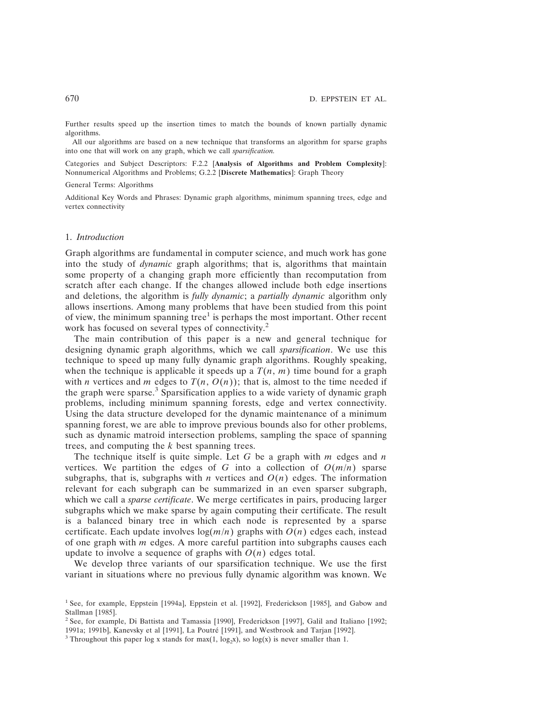Further results speed up the insertion times to match the bounds of known partially dynamic algorithms.

All our algorithms are based on a new technique that transforms an algorithm for sparse graphs into one that will work on any graph, which we call *sparsification.*

Categories and Subject Descriptors: F.2.2 [**Analysis of Algorithms and Problem Complexity**]: Nonnumerical Algorithms and Problems; G.2.2 [**Discrete Mathematics**]: Graph Theory

General Terms: Algorithms

Additional Key Words and Phrases: Dynamic graph algorithms, minimum spanning trees, edge and vertex connectivity

#### 1. *Introduction*

Graph algorithms are fundamental in computer science, and much work has gone into the study of *dynamic* graph algorithms; that is, algorithms that maintain some property of a changing graph more efficiently than recomputation from scratch after each change. If the changes allowed include both edge insertions and deletions, the algorithm is *fully dynamic*; a *partially dynamic* algorithm only allows insertions. Among many problems that have been studied from this point of view, the minimum spanning tree<sup>1</sup> is perhaps the most important. Other recent work has focused on several types of connectivity.<sup>2</sup>

The main contribution of this paper is a new and general technique for designing dynamic graph algorithms, which we call *sparsification*. We use this technique to speed up many fully dynamic graph algorithms. Roughly speaking, when the technique is applicable it speeds up a  $T(n, m)$  time bound for a graph with *n* vertices and *m* edges to  $T(n, O(n))$ ; that is, almost to the time needed if the graph were sparse.<sup>3</sup> Sparsification applies to a wide variety of dynamic graph problems, including minimum spanning forests, edge and vertex connectivity. Using the data structure developed for the dynamic maintenance of a minimum spanning forest, we are able to improve previous bounds also for other problems, such as dynamic matroid intersection problems, sampling the space of spanning trees, and computing the *k* best spanning trees.

The technique itself is quite simple. Let *G* be a graph with *m* edges and *n* vertices. We partition the edges of *G* into a collection of  $O(m/n)$  sparse subgraphs, that is, subgraphs with *n* vertices and  $O(n)$  edges. The information relevant for each subgraph can be summarized in an even sparser subgraph, which we call a *sparse certificate*. We merge certificates in pairs, producing larger subgraphs which we make sparse by again computing their certificate. The result is a balanced binary tree in which each node is represented by a sparse certificate. Each update involves  $log(m/n)$  graphs with  $O(n)$  edges each, instead of one graph with *m* edges. A more careful partition into subgraphs causes each update to involve a sequence of graphs with  $O(n)$  edges total.

We develop three variants of our sparsification technique. We use the first variant in situations where no previous fully dynamic algorithm was known. We

<sup>&</sup>lt;sup>1</sup> See, for example, Eppstein [1994a], Eppstein et al. [1992], Frederickson [1985], and Gabow and Stallman [1985].

<sup>2</sup> See, for example, Di Battista and Tamassia [1990], Frederickson [1997], Galil and Italiano [1992; 1991a; 1991b], Kanevsky et al [1991], La Poutre´ [1991], and Westbrook and Tarjan [1992].

<sup>&</sup>lt;sup>3</sup> Throughout this paper log x stands for max(1,  $log_2 x$ ), so  $log(x)$  is never smaller than 1.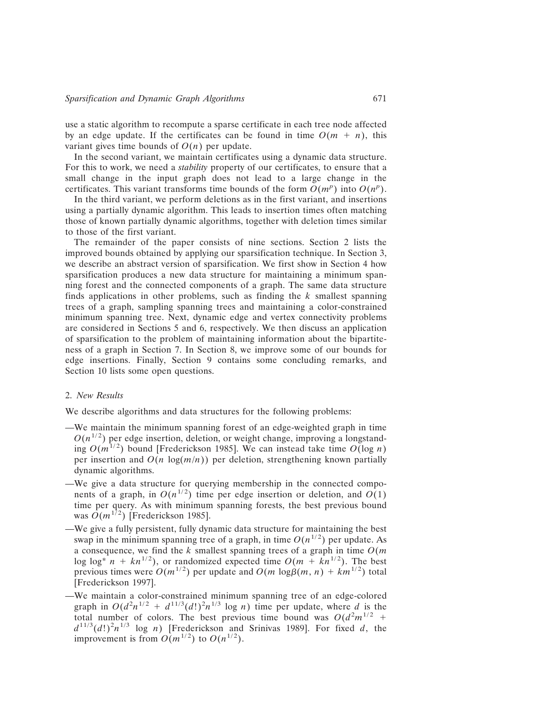use a static algorithm to recompute a sparse certificate in each tree node affected by an edge update. If the certificates can be found in time  $O(m + n)$ , this variant gives time bounds of  $O(n)$  per update.

In the second variant, we maintain certificates using a dynamic data structure. For this to work, we need a *stability* property of our certificates, to ensure that a small change in the input graph does not lead to a large change in the certificates. This variant transforms time bounds of the form  $O(m^p)$  into  $O(n^p)$ .

In the third variant, we perform deletions as in the first variant, and insertions using a partially dynamic algorithm. This leads to insertion times often matching those of known partially dynamic algorithms, together with deletion times similar to those of the first variant.

The remainder of the paper consists of nine sections. Section 2 lists the improved bounds obtained by applying our sparsification technique. In Section 3, we describe an abstract version of sparsification. We first show in Section 4 how sparsification produces a new data structure for maintaining a minimum spanning forest and the connected components of a graph. The same data structure finds applications in other problems, such as finding the *k* smallest spanning trees of a graph, sampling spanning trees and maintaining a color-constrained minimum spanning tree. Next, dynamic edge and vertex connectivity problems are considered in Sections 5 and 6, respectively. We then discuss an application of sparsification to the problem of maintaining information about the bipartiteness of a graph in Section 7. In Section 8, we improve some of our bounds for edge insertions. Finally, Section 9 contains some concluding remarks, and Section 10 lists some open questions.

### 2. *New Results*

We describe algorithms and data structures for the following problems:

- —We maintain the minimum spanning forest of an edge-weighted graph in time  $O(n^{1/2})$  per edge insertion, deletion, or weight change, improving a longstanding  $O(m^{1/2})$  bound [Frederickson 1985]. We can instead take time  $O(\log n)$ per insertion and  $O(n \log(m/n))$  per deletion, strengthening known partially dynamic algorithms.
- —We give a data structure for querying membership in the connected components of a graph, in  $O(n^{1/2})$  time per edge insertion or deletion, and  $O(1)$ time per query. As with minimum spanning forests, the best previous bound was  $\hat{O}(m^{1/2})$  [Frederickson 1985].
- —We give a fully persistent, fully dynamic data structure for maintaining the best swap in the minimum spanning tree of a graph, in time  $O(n^{1/2})$  per update. As a consequence, we find the  $k$  smallest spanning trees of a graph in time  $O(m)$ log  $\log^* n + kn^{1/2}$ , or randomized expected time  $O(m + kn^{1/2})$ . The best previous times were  $O(m^{1/2})$  per update and  $O(m \log \beta(m, n) + km^{1/2})$  total [Frederickson 1997].
- —We maintain a color-constrained minimum spanning tree of an edge-colored graph in  $O(d^2n^{1/2} + d^{11/3}(d!)^2n^{1/3}$  log *n*) time per update, where *d* is the total number of colors. The best previous time bound was  $O(d^2m^{1/2} +$  $d^{11/3}(d!)^2 n^{1/3}$  log *n*) [Frederickson and Srinivas 1989]. For fixed *d*, the improvement is from  $O(m^{1/2})$  to  $O(n^{1/2})$ .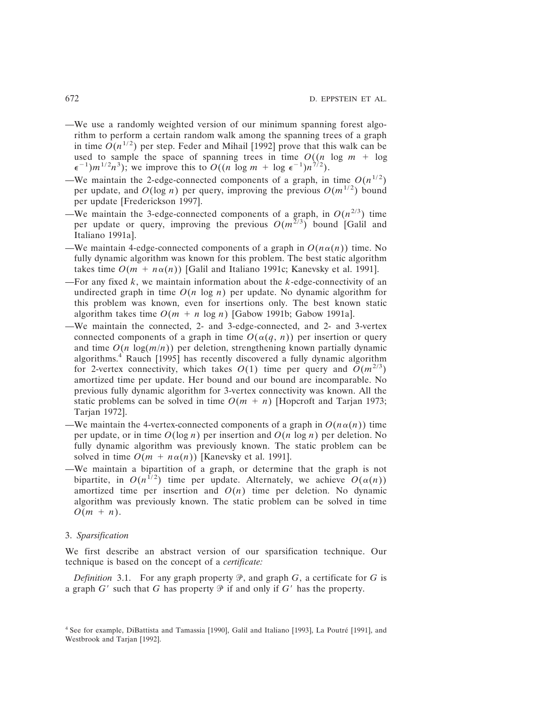- —We use a randomly weighted version of our minimum spanning forest algorithm to perform a certain random walk among the spanning trees of a graph in time  $O(n^{1/2})$  per step. Feder and Mihail [1992] prove that this walk can be used to sample the space of spanning trees in time  $O((n \log m + \log n))$  $\epsilon^{-1}$ ) $m^{1/2}n^3$ ; we improve this to  $O((n \log m + \log \epsilon^{-1})n^{7/2})$ .
- —We maintain the 2-edge-connected components of a graph, in time  $O(n^{1/2})$ per update, and  $O(\log n)$  per query, improving the previous  $O(m^{1/2})$  bound per update [Frederickson 1997].
- —We maintain the 3-edge-connected components of a graph, in  $O(n^{2/3})$  time per update or query, improving the previous  $O(m^{2/3})$  bound [Galil and Italiano 1991a].
- —We maintain 4-edge-connected components of a graph in  $O(n\alpha(n))$  time. No fully dynamic algorithm was known for this problem. The best static algorithm takes time  $O(m + n\alpha(n))$  [Galil and Italiano 1991c; Kanevsky et al. 1991].
- —For any fixed *k*, we maintain information about the *k*-edge-connectivity of an undirected graph in time  $O(n \log n)$  per update. No dynamic algorithm for this problem was known, even for insertions only. The best known static algorithm takes time  $O(m + n \log n)$  [Gabow 1991b; Gabow 1991a].
- —We maintain the connected, 2- and 3-edge-connected, and 2- and 3-vertex connected components of a graph in time  $O(\alpha(q, n))$  per insertion or query and time  $O(n \log(m/n))$  per deletion, strengthening known partially dynamic algorithms.<sup>4</sup> Rauch [1995] has recently discovered a fully dynamic algorithm for 2-vertex connectivity, which takes  $O(1)$  time per query and  $O(m^{2/3})$ amortized time per update. Her bound and our bound are incomparable. No previous fully dynamic algorithm for 3-vertex connectivity was known. All the static problems can be solved in time  $O(m + n)$  [Hopcroft and Tarjan 1973; Tarjan 1972].
- —We maintain the 4-vertex-connected components of a graph in  $O(n\alpha(n))$  time per update, or in time  $O(\log n)$  per insertion and  $O(n \log n)$  per deletion. No fully dynamic algorithm was previously known. The static problem can be solved in time  $O(m + n\alpha(n))$  [Kanevsky et al. 1991].
- —We maintain a bipartition of a graph, or determine that the graph is not bipartite, in  $O(n^{1/2})$  time per update. Alternately, we achieve  $O(\alpha(n))$ amortized time per insertion and  $O(n)$  time per deletion. No dynamic algorithm was previously known. The static problem can be solved in time  $O(m + n)$ .

# 3. *Sparsification*

We first describe an abstract version of our sparsification technique. Our technique is based on the concept of a *certificate:*

*Definition* 3.1. For any graph property  $\mathcal{P}$ , and graph *G*, a certificate for *G* is a graph  $G'$  such that  $G$  has property  $\mathcal P$  if and only if  $G'$  has the property.

<sup>&</sup>lt;sup>4</sup> See for example, DiBattista and Tamassia [1990], Galil and Italiano [1993], La Poutré [1991], and Westbrook and Tarjan [1992].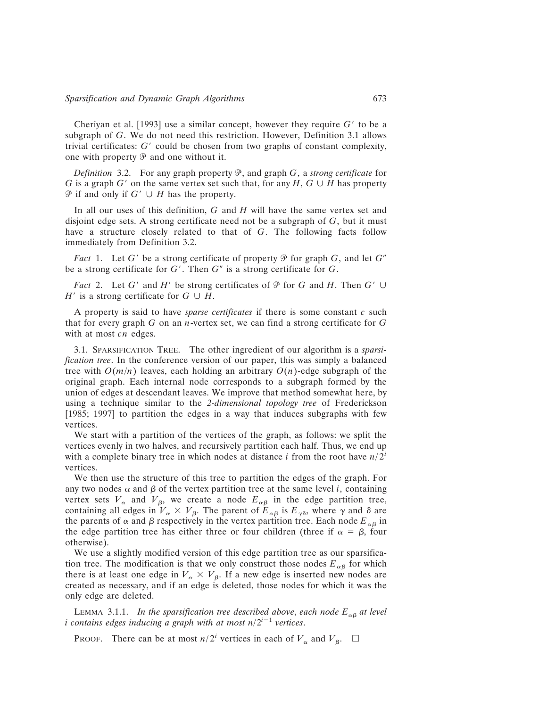Cheriyan et al. [1993] use a similar concept, however they require *G*9 to be a subgraph of *G*. We do not need this restriction. However, Definition 3.1 allows trivial certificates:  $G'$  could be chosen from two graphs of constant complexity, one with property  $\mathcal P$  and one without it.

*Definition* 3.2. For any graph property  $\mathcal{P}$ , and graph *G*, a *strong certificate* for *G* is a graph *G*<sup> $\prime$ </sup> on the same vertex set such that, for any *H*, *G*  $\cup$  *H* has property  $\mathcal{P}$  if and only if  $G' \cup H$  has the property.

In all our uses of this definition, *G* and *H* will have the same vertex set and disjoint edge sets. A strong certificate need not be a subgraph of *G*, but it must have a structure closely related to that of *G*. The following facts follow immediately from Definition 3.2.

*Fact* 1. Let *G*<sup> $\prime$ </sup> be a strong certificate of property  $\mathcal{P}$  for graph *G*, and let *G*<sup> $\prime\prime$ </sup> be a strong certificate for  $G'$ . Then  $G''$  is a strong certificate for  $G$ .

*Fact* 2. Let *G*<sup> $\prime$ </sup> and *H*<sup> $\prime$ </sup> be strong certificates of  $\mathcal{P}$  for *G* and *H*. Then *G*<sup> $\prime$ </sup>  $\cup$ *H*<sup> $\prime$ </sup> is a strong certificate for  $G \cup H$ .

A property is said to have *sparse certificates* if there is some constant *c* such that for every graph *G* on an *n*-vertex set, we can find a strong certificate for *G* with at most *cn* edges.

3.1. SPARSIFICATION TREE. The other ingredient of our algorithm is a *sparsification tree*. In the conference version of our paper, this was simply a balanced tree with  $O(m/n)$  leaves, each holding an arbitrary  $O(n)$ -edge subgraph of the original graph. Each internal node corresponds to a subgraph formed by the union of edges at descendant leaves. We improve that method somewhat here, by using a technique similar to the *2-dimensional topology tree* of Frederickson [1985; 1997] to partition the edges in a way that induces subgraphs with few vertices.

We start with a partition of the vertices of the graph, as follows: we split the vertices evenly in two halves, and recursively partition each half. Thus, we end up with a complete binary tree in which nodes at distance  $i$  from the root have  $n/2<sup>i</sup>$ vertices.

We then use the structure of this tree to partition the edges of the graph. For any two nodes  $\alpha$  and  $\beta$  of the vertex partition tree at the same level *i*, containing vertex sets  $V_\alpha$  and  $V_\beta$ , we create a node  $E_{\alpha\beta}$  in the edge partition tree, containing all edges in  $V_\alpha \times V_\beta$ . The parent of  $E_{\alpha\beta}$  is  $E_{\gamma\delta}$ , where  $\gamma$  and  $\delta$  are the parents of  $\alpha$  and  $\beta$  respectively in the vertex partition tree. Each node  $E_{\alpha\beta}$  in the edge partition tree has either three or four children (three if  $\alpha = \beta$ , four otherwise).

We use a slightly modified version of this edge partition tree as our sparsification tree. The modification is that we only construct those nodes  $E_{\alpha\beta}$  for which there is at least one edge in  $V_\alpha \times V_\beta$ . If a new edge is inserted new nodes are created as necessary, and if an edge is deleted, those nodes for which it was the only edge are deleted.

LEMMA 3.1.1. *In the sparsification tree described above, each node*  $E_{\alpha\beta}$  *at level i* contains edges inducing a graph with at most  $n/2^{i-1}$  vertices.

**PROOF.** There can be at most  $n/2^i$  vertices in each of  $V_\alpha$  and  $V_\beta$ .  $\Box$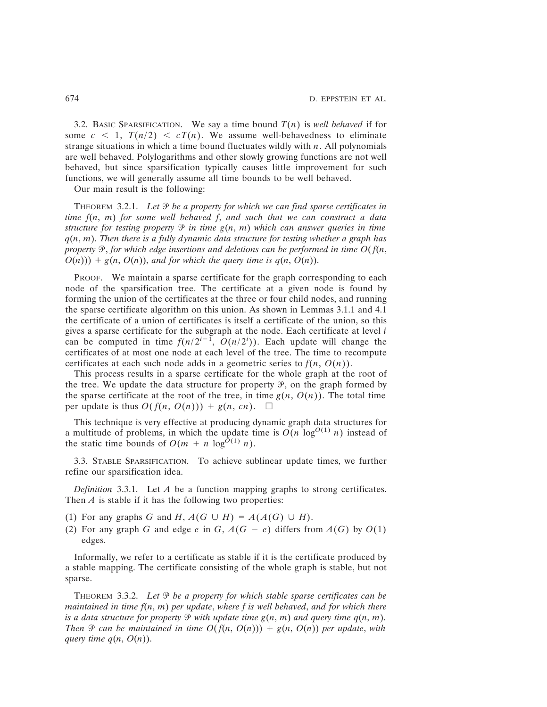3.2. BASIC SPARSIFICATION. We say a time bound *T*(*n*) is *well behaved* if for some  $c < 1$ ,  $T(n/2) < cT(n)$ . We assume well-behavedness to eliminate strange situations in which a time bound fluctuates wildly with *n*. All polynomials are well behaved. Polylogarithms and other slowly growing functions are not well behaved, but since sparsification typically causes little improvement for such functions, we will generally assume all time bounds to be well behaved.

Our main result is the following:

THEOREM 3.2.1. Let  $\mathcal P$  be a property for which we can find sparse certificates in *time f*(*n*, *m*) *for some well behaved f*, *and such that we can construct a data structure for testing property*  $\mathcal{P}$  *in time*  $g(n, m)$  *which can answer queries in time q*(*n*, *m*). *Then there is a fully dynamic data structure for testing whether a graph has property*  $\mathcal{P}$ *, for which edge insertions and deletions can be performed in time O(f(n,)*  $O(n)$ )) +  $g(n, O(n))$ , and for which the query time is  $q(n, O(n))$ .

PROOF. We maintain a sparse certificate for the graph corresponding to each node of the sparsification tree. The certificate at a given node is found by forming the union of the certificates at the three or four child nodes, and running the sparse certificate algorithm on this union. As shown in Lemmas 3.1.1 and 4.1 the certificate of a union of certificates is itself a certificate of the union, so this gives a sparse certificate for the subgraph at the node. Each certificate at level *i* can be computed in time  $f(n/2^{i-1}, O(n/2^{i}))$ . Each update will change the certificates of at most one node at each level of the tree. The time to recompute certificates at each such node adds in a geometric series to  $f(n, O(n))$ .

This process results in a sparse certificate for the whole graph at the root of the tree. We update the data structure for property  $\mathcal{P}$ , on the graph formed by the sparse certificate at the root of the tree, in time  $g(n, O(n))$ . The total time per update is thus  $O(f(n, O(n))) + g(n, cn)$ .  $\square$ 

This technique is very effective at producing dynamic graph data structures for a multitude of problems, in which the update time is  $O(n \log^{O(1)} n)$  instead of the static time bounds of  $O(m + n \log^{O(1)} n)$ .

3.3. STABLE SPARSIFICATION. To achieve sublinear update times, we further refine our sparsification idea.

*Definition* 3.3.1. Let *A* be a function mapping graphs to strong certificates. Then *A* is stable if it has the following two properties:

- (1) For any graphs *G* and *H*,  $A(G \cup H) = A(A(G) \cup H)$ .
- (2) For any graph *G* and edge *e* in *G*,  $A(G e)$  differs from  $A(G)$  by  $O(1)$ edges.

Informally, we refer to a certificate as stable if it is the certificate produced by a stable mapping. The certificate consisting of the whole graph is stable, but not sparse.

THEOREM 3.3.2. Let  $\mathcal P$  be a property for which stable sparse certificates can be *maintained in time f*(*n*, *m*) *per update*, *where f is well behaved*, *and for which there is a data structure for property*  $\mathcal{P}$  *with update time*  $g(n, m)$  *and query time*  $q(n, m)$ *. Then*  $\mathcal{P}$  *can be maintained in time*  $O(f(n, O(n))) + g(n, O(n))$  *per update, with query time*  $q(n, O(n))$ *.*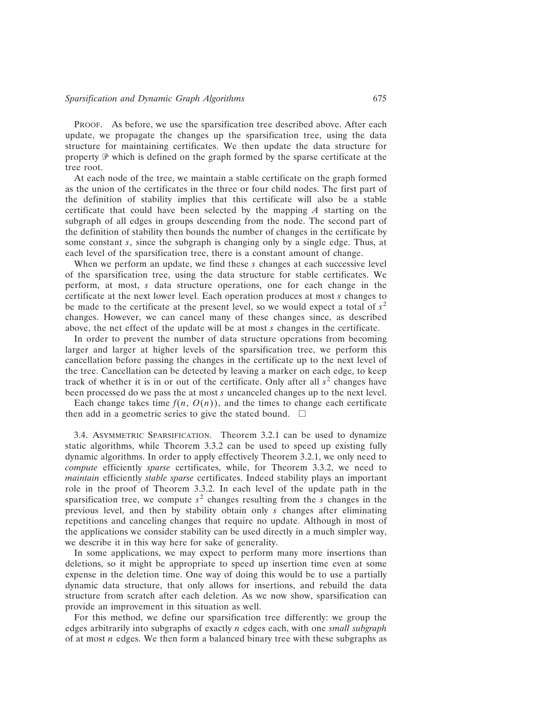PROOF. As before, we use the sparsification tree described above. After each update, we propagate the changes up the sparsification tree, using the data structure for maintaining certificates. We then update the data structure for property  $\mathcal P$  which is defined on the graph formed by the sparse certificate at the tree root.

At each node of the tree, we maintain a stable certificate on the graph formed as the union of the certificates in the three or four child nodes. The first part of the definition of stability implies that this certificate will also be a stable certificate that could have been selected by the mapping *A* starting on the subgraph of all edges in groups descending from the node. The second part of the definition of stability then bounds the number of changes in the certificate by some constant *s*, since the subgraph is changing only by a single edge. Thus, at each level of the sparsification tree, there is a constant amount of change.

When we perform an update, we find these *s* changes at each successive level of the sparsification tree, using the data structure for stable certificates. We perform, at most, *s* data structure operations, one for each change in the certificate at the next lower level. Each operation produces at most *s* changes to be made to the certificate at the present level, so we would expect a total of  $s<sup>2</sup>$ changes. However, we can cancel many of these changes since, as described above, the net effect of the update will be at most *s* changes in the certificate.

In order to prevent the number of data structure operations from becoming larger and larger at higher levels of the sparsification tree, we perform this cancellation before passing the changes in the certificate up to the next level of the tree. Cancellation can be detected by leaving a marker on each edge, to keep track of whether it is in or out of the certificate. Only after all  $s<sup>2</sup>$  changes have been processed do we pass the at most *s* uncanceled changes up to the next level.

Each change takes time  $f(n, O(n))$ , and the times to change each certificate then add in a geometric series to give the stated bound.  $\square$ 

3.4. ASYMMETRIC SPARSIFICATION. Theorem 3.2.1 can be used to dynamize static algorithms, while Theorem 3.3.2 can be used to speed up existing fully dynamic algorithms. In order to apply effectively Theorem 3.2.1, we only need to *compute* efficiently *sparse* certificates, while, for Theorem 3.3.2, we need to *maintain* efficiently *stable sparse* certificates. Indeed stability plays an important role in the proof of Theorem 3.3.2. In each level of the update path in the sparsification tree, we compute  $s^2$  changes resulting from the  $s$  changes in the previous level, and then by stability obtain only *s* changes after eliminating repetitions and canceling changes that require no update. Although in most of the applications we consider stability can be used directly in a much simpler way, we describe it in this way here for sake of generality.

In some applications, we may expect to perform many more insertions than deletions, so it might be appropriate to speed up insertion time even at some expense in the deletion time. One way of doing this would be to use a partially dynamic data structure, that only allows for insertions, and rebuild the data structure from scratch after each deletion. As we now show, sparsification can provide an improvement in this situation as well.

For this method, we define our sparsification tree differently: we group the edges arbitrarily into subgraphs of exactly *n* edges each, with one *small subgraph* of at most *n* edges. We then form a balanced binary tree with these subgraphs as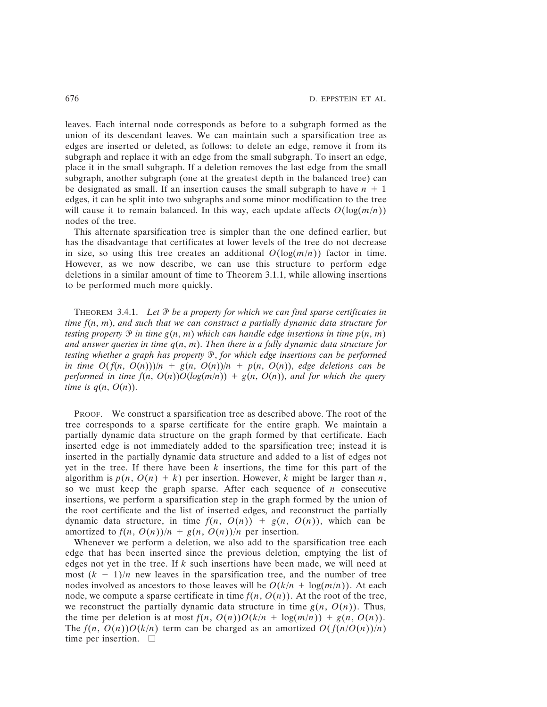leaves. Each internal node corresponds as before to a subgraph formed as the union of its descendant leaves. We can maintain such a sparsification tree as edges are inserted or deleted, as follows: to delete an edge, remove it from its subgraph and replace it with an edge from the small subgraph. To insert an edge, place it in the small subgraph. If a deletion removes the last edge from the small subgraph, another subgraph (one at the greatest depth in the balanced tree) can be designated as small. If an insertion causes the small subgraph to have  $n + 1$ edges, it can be split into two subgraphs and some minor modification to the tree will cause it to remain balanced. In this way, each update affects  $O(log(m/n))$ nodes of the tree.

This alternate sparsification tree is simpler than the one defined earlier, but has the disadvantage that certificates at lower levels of the tree do not decrease in size, so using this tree creates an additional  $O(\log(m/n))$  factor in time. However, as we now describe, we can use this structure to perform edge deletions in a similar amount of time to Theorem 3.1.1, while allowing insertions to be performed much more quickly.

THEOREM 3.4.1. Let  $\mathcal P$  be a property for which we can find sparse certificates in *time f*(*n*, *m*), *and such that we can construct a partially dynamic data structure for testing property*  $\mathcal{P}$  *in time*  $g(n, m)$  *which can handle edge insertions in time*  $p(n, m)$ *and answer queries in time q*(*n*, *m*). *Then there is a fully dynamic data structure for testing whether a graph has property*  $\mathcal{P}$ *, for which edge insertions can be performed in time*  $O(f(n, O(n)))/n + g(n, O(n))/n + p(n, O(n))$ *, edge deletions can be performed in time f*( $n$ ,  $O(n)$ ) $O(log(m/n)) + g(n, O(n))$ , *and for which the query time is*  $q(n, O(n))$ *.* 

PROOF. We construct a sparsification tree as described above. The root of the tree corresponds to a sparse certificate for the entire graph. We maintain a partially dynamic data structure on the graph formed by that certificate. Each inserted edge is not immediately added to the sparsification tree; instead it is inserted in the partially dynamic data structure and added to a list of edges not yet in the tree. If there have been *k* insertions, the time for this part of the algorithm is  $p(n, O(n) + k)$  per insertion. However, k might be larger than *n*, so we must keep the graph sparse. After each sequence of *n* consecutive insertions, we perform a sparsification step in the graph formed by the union of the root certificate and the list of inserted edges, and reconstruct the partially dynamic data structure, in time  $f(n, O(n)) + g(n, O(n))$ , which can be amortized to  $f(n, O(n))/n + g(n, O(n))/n$  per insertion.

Whenever we perform a deletion, we also add to the sparsification tree each edge that has been inserted since the previous deletion, emptying the list of edges not yet in the tree. If *k* such insertions have been made, we will need at most  $(k - 1)/n$  new leaves in the sparsification tree, and the number of tree nodes involved as ancestors to those leaves will be  $O(k/n + \log(m/n))$ . At each node, we compute a sparse certificate in time  $f(n, O(n))$ . At the root of the tree, we reconstruct the partially dynamic data structure in time  $g(n, O(n))$ . Thus, the time per deletion is at most  $f(n, O(n))O(k/n + \log(m/n)) + g(n, O(n)).$ The  $f(n, O(n))O(k/n)$  term can be charged as an amortized  $O(f(n/O(n))/n)$ time per insertion.  $\square$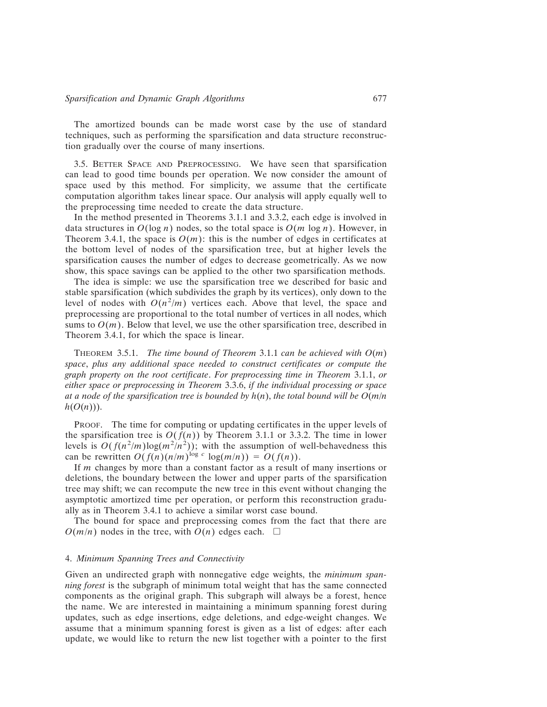The amortized bounds can be made worst case by the use of standard techniques, such as performing the sparsification and data structure reconstruction gradually over the course of many insertions.

3.5. BETTER SPACE AND PREPROCESSING. We have seen that sparsification can lead to good time bounds per operation. We now consider the amount of space used by this method. For simplicity, we assume that the certificate computation algorithm takes linear space. Our analysis will apply equally well to the preprocessing time needed to create the data structure.

In the method presented in Theorems 3.1.1 and 3.3.2, each edge is involved in data structures in  $O(\log n)$  nodes, so the total space is  $O(m \log n)$ . However, in Theorem 3.4.1, the space is  $O(m)$ : this is the number of edges in certificates at the bottom level of nodes of the sparsification tree, but at higher levels the sparsification causes the number of edges to decrease geometrically. As we now show, this space savings can be applied to the other two sparsification methods.

The idea is simple: we use the sparsification tree we described for basic and stable sparsification (which subdivides the graph by its vertices), only down to the level of nodes with  $O(n^2/m)$  vertices each. Above that level, the space and preprocessing are proportional to the total number of vertices in all nodes, which sums to  $O(m)$ . Below that level, we use the other sparsification tree, described in Theorem 3.4.1, for which the space is linear.

THEOREM 3.5.1. *The time bound of Theorem* 3.1.1 *can be achieved with O*(*m*) *space*, *plus any additional space needed to construct certificates or compute the graph property on the root certificate*. *For preprocessing time in Theorem* 3.1.1, *or either space or preprocessing in Theorem* 3.3.6, *if the individual processing or space at a node of the sparsification tree is bounded by*  $h(n)$ *, the total bound will be*  $O(m/n)$  $h(O(n))$ .

PROOF. The time for computing or updating certificates in the upper levels of the sparsification tree is  $O(f(n))$  by Theorem 3.1.1 or 3.3.2. The time in lower levels is  $O(f(n^2/m)\log(m^2/n^2))$ ; with the assumption of well-behavedness this can be rewritten  $O(f(n)(n/m)^{\log c} \log(m/n)) = O(f(n)).$ 

If *m* changes by more than a constant factor as a result of many insertions or deletions, the boundary between the lower and upper parts of the sparsification tree may shift; we can recompute the new tree in this event without changing the asymptotic amortized time per operation, or perform this reconstruction gradually as in Theorem 3.4.1 to achieve a similar worst case bound.

The bound for space and preprocessing comes from the fact that there are  $O(m/n)$  nodes in the tree, with  $O(n)$  edges each.  $\square$ 

# 4. *Minimum Spanning Trees and Connectivity*

Given an undirected graph with nonnegative edge weights, the *minimum spanning forest* is the subgraph of minimum total weight that has the same connected components as the original graph. This subgraph will always be a forest, hence the name. We are interested in maintaining a minimum spanning forest during updates, such as edge insertions, edge deletions, and edge-weight changes. We assume that a minimum spanning forest is given as a list of edges: after each update, we would like to return the new list together with a pointer to the first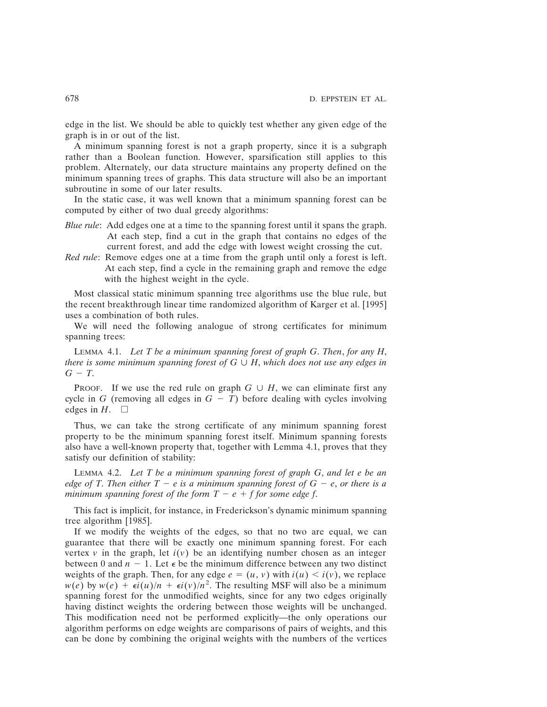edge in the list. We should be able to quickly test whether any given edge of the graph is in or out of the list.

A minimum spanning forest is not a graph property, since it is a subgraph rather than a Boolean function. However, sparsification still applies to this problem. Alternately, our data structure maintains any property defined on the minimum spanning trees of graphs. This data structure will also be an important subroutine in some of our later results.

In the static case, it was well known that a minimum spanning forest can be computed by either of two dual greedy algorithms:

- *Blue rule*: Add edges one at a time to the spanning forest until it spans the graph. At each step, find a cut in the graph that contains no edges of the current forest, and add the edge with lowest weight crossing the cut.
- *Red rule*: Remove edges one at a time from the graph until only a forest is left. At each step, find a cycle in the remaining graph and remove the edge with the highest weight in the cycle.

Most classical static minimum spanning tree algorithms use the blue rule, but the recent breakthrough linear time randomized algorithm of Karger et al. [1995] uses a combination of both rules.

We will need the following analogue of strong certificates for minimum spanning trees:

LEMMA 4.1. *Let T be a minimum spanning forest of graph G*. *Then*, *for any H*, *there is some minimum spanning forest of*  $G \cup H$ *, which does not use any edges in*  $G - T$ .

PROOF. If we use the red rule on graph  $G \cup H$ , we can eliminate first any cycle in *G* (removing all edges in  $G - T$ ) before dealing with cycles involving edges in  $H$ .  $\square$ 

Thus, we can take the strong certificate of any minimum spanning forest property to be the minimum spanning forest itself. Minimum spanning forests also have a well-known property that, together with Lemma 4.1, proves that they satisfy our definition of stability:

LEMMA 4.2. *Let T be a minimum spanning forest of graph G*, *and let e be an edge of T. Then either T – e is a minimum spanning forest of*  $G - e$ *, or there is a minimum spanning forest of the form*  $T - e + f$  *for some edge f.* 

This fact is implicit, for instance, in Frederickson's dynamic minimum spanning tree algorithm [1985].

If we modify the weights of the edges, so that no two are equal, we can guarantee that there will be exactly one minimum spanning forest. For each vertex  $v$  in the graph, let  $i(v)$  be an identifying number chosen as an integer between 0 and  $n - 1$ . Let  $\epsilon$  be the minimum difference between any two distinct weights of the graph. Then, for any edge  $e = (u, v)$  with  $i(u) \le i(v)$ , we replace  $w(e)$  by  $w(e) + \epsilon i(u)/n + \epsilon i(v)/n^2$ . The resulting MSF will also be a minimum spanning forest for the unmodified weights, since for any two edges originally having distinct weights the ordering between those weights will be unchanged. This modification need not be performed explicitly—the only operations our algorithm performs on edge weights are comparisons of pairs of weights, and this can be done by combining the original weights with the numbers of the vertices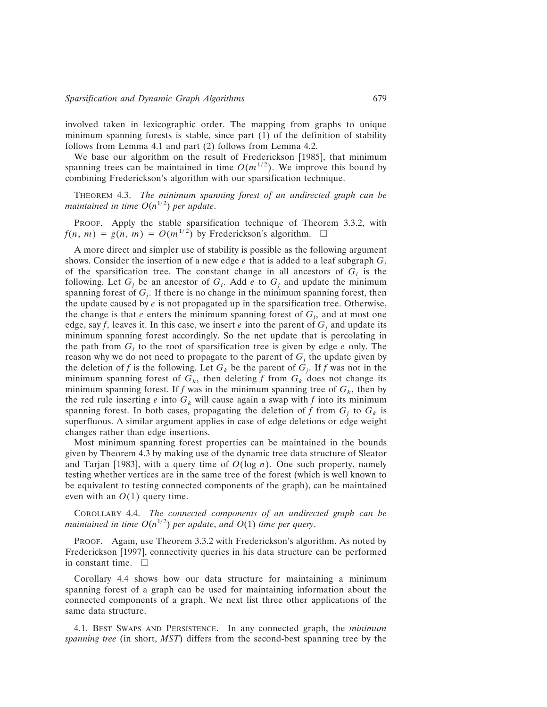involved taken in lexicographic order. The mapping from graphs to unique minimum spanning forests is stable, since part (1) of the definition of stability follows from Lemma 4.1 and part (2) follows from Lemma 4.2.

We base our algorithm on the result of Frederickson [1985], that minimum spanning trees can be maintained in time  $O(m^{1/2})$ . We improve this bound by combining Frederickson's algorithm with our sparsification technique.

THEOREM 4.3. *The minimum spanning forest of an undirected graph can be maintained in time*  $O(n^{1/2})$  *per update.* 

PROOF. Apply the stable sparsification technique of Theorem 3.3.2, with  $f(n, m) = g(n, m) = O(m^{1/2})$  by Frederickson's algorithm.  $\square$ 

A more direct and simpler use of stability is possible as the following argument shows. Consider the insertion of a new edge  $e$  that is added to a leaf subgraph  $G_i$ of the sparsification tree. The constant change in all ancestors of  $G_i$  is the following. Let  $G_j$  be an ancestor of  $G_i$ . Add *e* to  $G_j$  and update the minimum spanning forest of *Gj* . If there is no change in the minimum spanning forest, then the update caused by  $e$  is not propagated up in the sparsification tree. Otherwise, the change is that  $e$  enters the minimum spanning forest of  $G_j$ , and at most one edge, say  $f$ , leaves it. In this case, we insert  $e$  into the parent of  $G_i$  and update its minimum spanning forest accordingly. So the net update that is percolating in the path from  $G_i$  to the root of sparsification tree is given by edge *e* only. The reason why we do not need to propagate to the parent of  $G_i$  the update given by the deletion of *f* is the following. Let  $G_k$  be the parent of  $G_j$ . If *f* was not in the minimum spanning forest of  $G_k$ , then deleting f from  $G_k$  does not change its minimum spanning forest. If *f* was in the minimum spanning tree of  $G_k$ , then by the red rule inserting  $e$  into  $G_k$  will cause again a swap with  $f$  into its minimum spanning forest. In both cases, propagating the deletion of *f* from  $G_i$  to  $G_k$  is superfluous. A similar argument applies in case of edge deletions or edge weight changes rather than edge insertions.

Most minimum spanning forest properties can be maintained in the bounds given by Theorem 4.3 by making use of the dynamic tree data structure of Sleator and Tarjan [1983], with a query time of *O*(log *n*). One such property, namely testing whether vertices are in the same tree of the forest (which is well known to be equivalent to testing connected components of the graph), can be maintained even with an  $O(1)$  query time.

COROLLARY 4.4. *The connected components of an undirected graph can be maintained in time*  $O(n^{1/2})$  *per update, and*  $O(1)$  *time per query.* 

PROOF. Again, use Theorem 3.3.2 with Frederickson's algorithm. As noted by Frederickson [1997], connectivity queries in his data structure can be performed in constant time.  $\square$ 

Corollary 4.4 shows how our data structure for maintaining a minimum spanning forest of a graph can be used for maintaining information about the connected components of a graph. We next list three other applications of the same data structure.

4.1. BEST SWAPS AND PERSISTENCE. In any connected graph, the *minimum spanning tree* (in short, *MST*) differs from the second-best spanning tree by the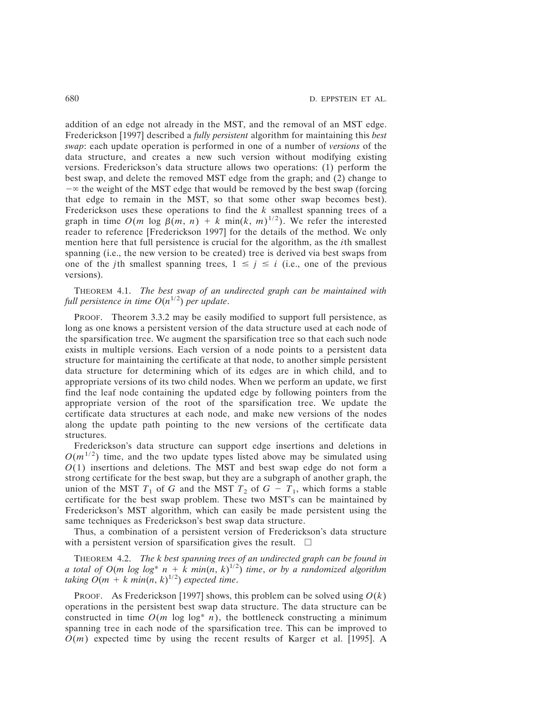addition of an edge not already in the MST, and the removal of an MST edge. Frederickson [1997] described a *fully persistent* algorithm for maintaining this *best swap*: each update operation is performed in one of a number of *versions* of the data structure, and creates a new such version without modifying existing versions. Frederickson's data structure allows two operations: (1) perform the best swap, and delete the removed MST edge from the graph; and (2) change to  $-\infty$  the weight of the MST edge that would be removed by the best swap (forcing that edge to remain in the MST, so that some other swap becomes best). Frederickson uses these operations to find the *k* smallest spanning trees of a graph in time  $O(m \log \beta(m, n) + k \min(k, m)^{1/2})$ . We refer the interested reader to reference [Frederickson 1997] for the details of the method. We only mention here that full persistence is crucial for the algorithm, as the *i*th smallest spanning (i.e., the new version to be created) tree is derived via best swaps from one of the *j*th smallest spanning trees,  $1 \le j \le i$  (i.e., one of the previous versions).

# THEOREM 4.1. *The best swap of an undirected graph can be maintained with full persistence in time*  $O(n^{1/2})$  *per update.*

PROOF. Theorem 3.3.2 may be easily modified to support full persistence, as long as one knows a persistent version of the data structure used at each node of the sparsification tree. We augment the sparsification tree so that each such node exists in multiple versions. Each version of a node points to a persistent data structure for maintaining the certificate at that node, to another simple persistent data structure for determining which of its edges are in which child, and to appropriate versions of its two child nodes. When we perform an update, we first find the leaf node containing the updated edge by following pointers from the appropriate version of the root of the sparsification tree. We update the certificate data structures at each node, and make new versions of the nodes along the update path pointing to the new versions of the certificate data structures.

Frederickson's data structure can support edge insertions and deletions in  $O(m^{1/2})$  time, and the two update types listed above may be simulated using *O*(1) insertions and deletions. The MST and best swap edge do not form a strong certificate for the best swap, but they are a subgraph of another graph, the union of the MST  $T_1$  of *G* and the MST  $T_2$  of  $G - T_1$ , which forms a stable certificate for the best swap problem. These two MST's can be maintained by Frederickson's MST algorithm, which can easily be made persistent using the same techniques as Frederickson's best swap data structure.

Thus, a combination of a persistent version of Frederickson's data structure with a persistent version of sparsification gives the result.  $\square$ 

THEOREM 4.2. *The k best spanning trees of an undirected graph can be found in a total of O*(*m log log*<sup>\*</sup>  $n + k$  min( $n, k$ )<sup>1/2</sup>) *time*, *or by a randomized algorithm taking*  $O(m + k \ min(n, k)^{1/2})$  *expected time.* 

PROOF. As Frederickson [1997] shows, this problem can be solved using  $O(k)$ operations in the persistent best swap data structure. The data structure can be constructed in time  $O(m \log \log^* n)$ , the bottleneck constructing a minimum spanning tree in each node of the sparsification tree. This can be improved to  $O(m)$  expected time by using the recent results of Karger et al. [1995]. A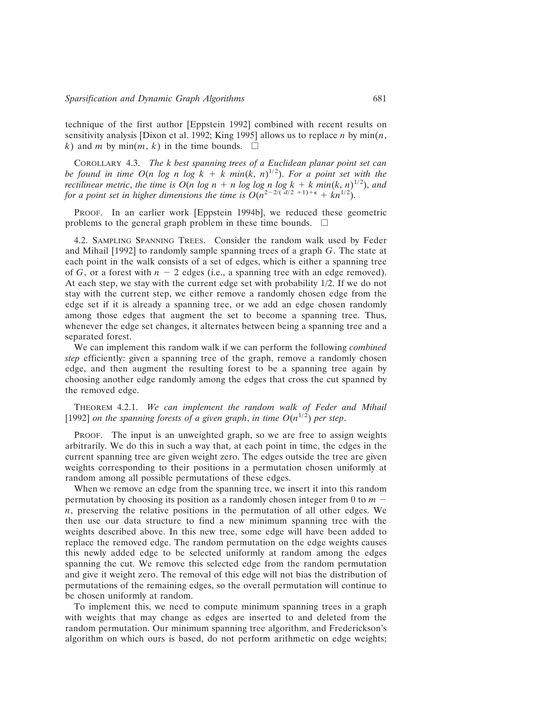technique of the first author [Eppstein 1992] combined with recent results on sensitivity analysis [Dixon et al. 1992; King 1995] allows us to replace *n* by min(*n*, *k*) and *m* by min(*m*, *k*) in the time bounds.  $\square$ 

COROLLARY 4.3. *The k best spanning trees of a Euclidean planar point set can be found in time*  $O(n \log n \log k + k \min(k, n)^{1/2})$ *. For a point set with the rectilinear metric, the time is*  $O(n \log n + n \log \log n \log k + k \min(k, n)^{1/2})$ *, and for a point set in higher dimensions the time is*  $O(n^{2-2/(d/2)+1)+\epsilon} + kn^{1/2}).$ 

PROOF. In an earlier work [Eppstein 1994b], we reduced these geometric problems to the general graph problem in these time bounds.  $\square$ 

4.2. SAMPLING SPANNING TREES. Consider the random walk used by Feder and Mihail [1992] to randomly sample spanning trees of a graph *G*. The state at each point in the walk consists of a set of edges, which is either a spanning tree of  $G$ , or a forest with  $n-2$  edges (i.e., a spanning tree with an edge removed). At each step, we stay with the current edge set with probability 1/2. If we do not stay with the current step, we either remove a randomly chosen edge from the edge set if it is already a spanning tree, or we add an edge chosen randomly among those edges that augment the set to become a spanning tree. Thus, whenever the edge set changes, it alternates between being a spanning tree and a separated forest.

We can implement this random walk if we can perform the following *combined step* efficiently: given a spanning tree of the graph, remove a randomly chosen edge, and then augment the resulting forest to be a spanning tree again by choosing another edge randomly among the edges that cross the cut spanned by the removed edge.

THEOREM 4.2.1. *We can implement the random walk of Feder and Mihail* [1992] *on the spanning forests of a given graph, in time*  $O(n^{1/2})$  *per step.* 

PROOF. The input is an unweighted graph, so we are free to assign weights arbitrarily. We do this in such a way that, at each point in time, the edges in the current spanning tree are given weight zero. The edges outside the tree are given weights corresponding to their positions in a permutation chosen uniformly at random among all possible permutations of these edges.

When we remove an edge from the spanning tree, we insert it into this random permutation by choosing its position as a randomly chosen integer from 0 to  $m$ *n*, preserving the relative positions in the permutation of all other edges. We then use our data structure to find a new minimum spanning tree with the weights described above. In this new tree, some edge will have been added to replace the removed edge. The random permutation on the edge weights causes this newly added edge to be selected uniformly at random among the edges spanning the cut. We remove this selected edge from the random permutation and give it weight zero. The removal of this edge will not bias the distribution of permutations of the remaining edges, so the overall permutation will continue to be chosen uniformly at random.

To implement this, we need to compute minimum spanning trees in a graph with weights that may change as edges are inserted to and deleted from the random permutation. Our minimum spanning tree algorithm, and Frederickson's algorithm on which ours is based, do not perform arithmetic on edge weights;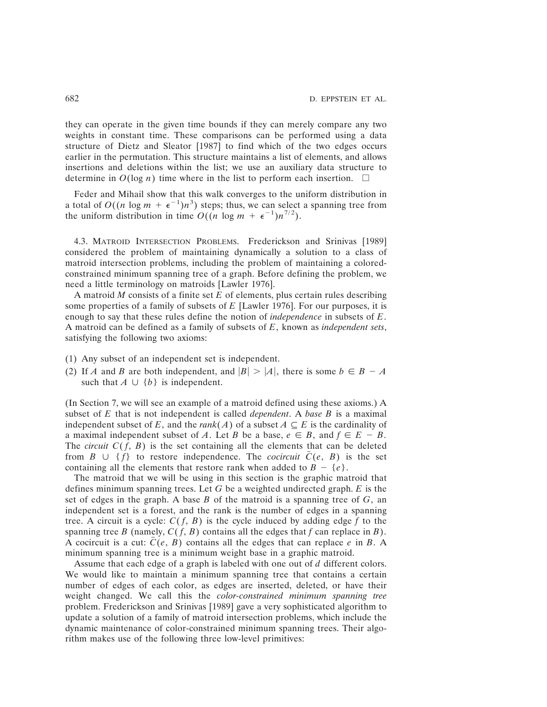they can operate in the given time bounds if they can merely compare any two weights in constant time. These comparisons can be performed using a data structure of Dietz and Sleator [1987] to find which of the two edges occurs earlier in the permutation. This structure maintains a list of elements, and allows insertions and deletions within the list; we use an auxiliary data structure to determine in  $O(\log n)$  time where in the list to perform each insertion.  $\square$ 

Feder and Mihail show that this walk converges to the uniform distribution in a total of  $O((n \log m + \epsilon^{-1})n^3)$  steps; thus, we can select a spanning tree from the uniform distribution in time  $O((n \log m + \epsilon^{-1})n^{7/2})$ .

4.3. MATROID INTERSECTION PROBLEMS. Frederickson and Srinivas [1989] considered the problem of maintaining dynamically a solution to a class of matroid intersection problems, including the problem of maintaining a coloredconstrained minimum spanning tree of a graph. Before defining the problem, we need a little terminology on matroids [Lawler 1976].

A matroid *M* consists of a finite set *E* of elements, plus certain rules describing some properties of a family of subsets of *E* [Lawler 1976]. For our purposes, it is enough to say that these rules define the notion of *independence* in subsets of *E*. A matroid can be defined as a family of subsets of *E*, known as *independent sets*, satisfying the following two axioms:

- (1) Any subset of an independent set is independent.
- (2) If *A* and *B* are both independent, and  $|B| > |A|$ , there is some  $b \in B A$ such that  $A \cup \{b\}$  is independent.

(In Section 7, we will see an example of a matroid defined using these axioms.) A subset of *E* that is not independent is called *dependent*. A *base B* is a maximal independent subset of *E*, and the *rank*(*A*) of a subset  $A \subseteq E$  is the cardinality of a maximal independent subset of *A*. Let *B* be a base,  $e \in B$ , and  $f \in E - B$ . The *circuit*  $C(f, B)$  is the set containing all the elements that can be deleted from  $B \cup \{f\}$  to restore independence. The *cocircuit*  $\overline{C}(e, B)$  is the set containing all the elements that restore rank when added to  $B - \{e\}.$ 

The matroid that we will be using in this section is the graphic matroid that defines minimum spanning trees. Let *G* be a weighted undirected graph. *E* is the set of edges in the graph. A base *B* of the matroid is a spanning tree of *G*, an independent set is a forest, and the rank is the number of edges in a spanning tree. A circuit is a cycle:  $C(f, B)$  is the cycle induced by adding edge f to the spanning tree *B* (namely,  $C(f, B)$  contains all the edges that *f* can replace in *B*). A cocircuit is a cut:  $\overline{C}(e, B)$  contains all the edges that can replace *e* in *B*. A minimum spanning tree is a minimum weight base in a graphic matroid.

Assume that each edge of a graph is labeled with one out of *d* different colors. We would like to maintain a minimum spanning tree that contains a certain number of edges of each color, as edges are inserted, deleted, or have their weight changed. We call this the *color-constrained minimum spanning tree* problem. Frederickson and Srinivas [1989] gave a very sophisticated algorithm to update a solution of a family of matroid intersection problems, which include the dynamic maintenance of color-constrained minimum spanning trees. Their algorithm makes use of the following three low-level primitives: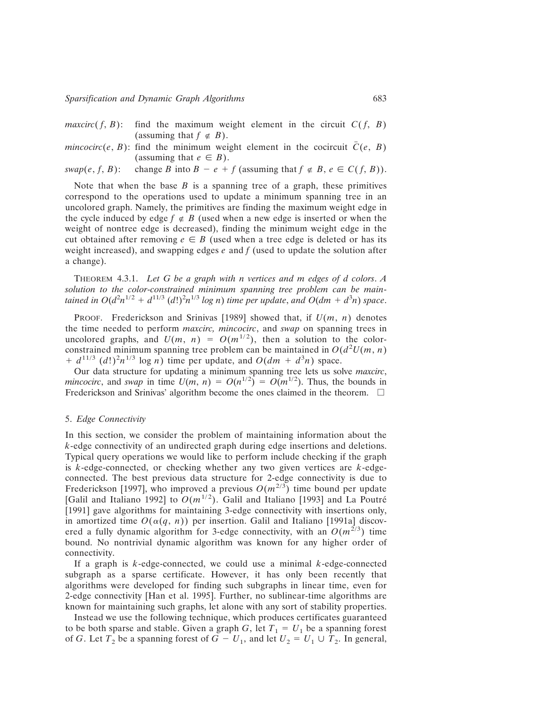*maxcirc*( $f, B$ ): find the maximum weight element in the circuit  $C(f, B)$ (assuming that  $f \notin B$ ).

*mincocirc*(*e*, *B*): find the minimum weight element in the cocircuit  $\overline{C}(e, B)$ (assuming that  $e \in B$ ).

*swap*(*e*, *f*, *B*): change *B* into  $B - e + f$  (assuming that  $f \notin B$ ,  $e \in C(f, B)$ ).

Note that when the base  $B$  is a spanning tree of a graph, these primitives correspond to the operations used to update a minimum spanning tree in an uncolored graph. Namely, the primitives are finding the maximum weight edge in the cycle induced by edge  $f \notin B$  (used when a new edge is inserted or when the weight of nontree edge is decreased), finding the minimum weight edge in the cut obtained after removing  $e \in B$  (used when a tree edge is deleted or has its weight increased), and swapping edges *e* and *f* (used to update the solution after a change).

THEOREM 4.3.1. *Let G be a graph with n vertices and m edges of d colors*. *A solution to the color*-*constrained minimum spanning tree problem can be maintained in*  $O(d^2n^{1/2} + d^{11/3} (d!)^2n^{1/3} \log n)$  *time per update, and*  $O(dm + d^3n)$  *space.* 

PROOF. Frederickson and Srinivas [1989] showed that, if *U*(*m*, *n*) denotes the time needed to perform *maxcirc, mincocirc*, and *swap* on spanning trees in uncolored graphs, and  $U(m, n) = O(m^{1/2})$ , then a solution to the colorconstrained minimum spanning tree problem can be maintained in  $O(d^2U(m, n))$  $+ d^{11/3}$   $(d!)^2 n^{1/3}$  log *n*) time per update, and  $O(dm + d^3n)$  space.

Our data structure for updating a minimum spanning tree lets us solve *maxcirc*, *mincocirc*, and *swap* in time  $U(m, n) = O(n^{1/2}) = O(m^{1/2})$ . Thus, the bounds in Frederickson and Srinivas' algorithm become the ones claimed in the theorem.  $\Box$ 

### 5. *Edge Connectivity*

In this section, we consider the problem of maintaining information about the *k*-edge connectivity of an undirected graph during edge insertions and deletions. Typical query operations we would like to perform include checking if the graph is *k*-edge-connected, or checking whether any two given vertices are *k*-edgeconnected. The best previous data structure for 2-edge connectivity is due to Frederickson [1997], who improved a previous  $O(m^{2/3})$  time bound per update [Galil and Italiano 1992] to  $O(m^{1/2})$ . Galil and Italiano [1993] and La Poutré [1991] gave algorithms for maintaining 3-edge connectivity with insertions only, in amortized time  $O(\alpha(q, n))$  per insertion. Galil and Italiano [1991a] discovered a fully dynamic algorithm for 3-edge connectivity, with an  $O(m^{2/3})$  time bound. No nontrivial dynamic algorithm was known for any higher order of connectivity.

If a graph is *k*-edge-connected, we could use a minimal *k*-edge-connected subgraph as a sparse certificate. However, it has only been recently that algorithms were developed for finding such subgraphs in linear time, even for 2-edge connectivity [Han et al. 1995]. Further, no sublinear-time algorithms are known for maintaining such graphs, let alone with any sort of stability properties.

Instead we use the following technique, which produces certificates guaranteed to be both sparse and stable. Given a graph *G*, let  $T_1 = U_1$  be a spanning forest of *G*. Let  $T_2$  be a spanning forest of  $G - U_1$ , and let  $U_2 = U_1 \cup T_2$ . In general,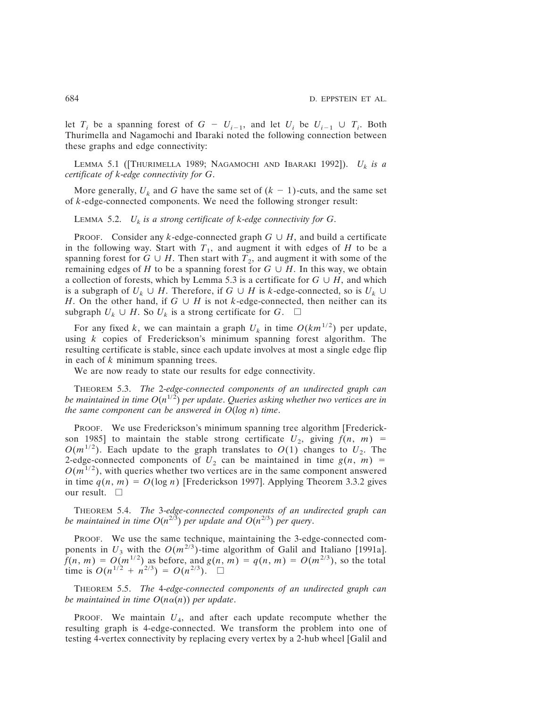let  $T_i$  be a spanning forest of  $G - U_{i-1}$ , and let  $U_i$  be  $U_{i-1} \cup T_i$ . Both Thurimella and Nagamochi and Ibaraki noted the following connection between these graphs and edge connectivity:

LEMMA 5.1 ([THURIMELLA 1989; NAGAMOCHI AND IBARAKI 1992]). *Uk is a certificate of k*-*edge connectivity for G*.

More generally,  $U_k$  and G have the same set of  $(k - 1)$ -cuts, and the same set of *k*-edge-connected components. We need the following stronger result:

# LEMMA 5.2.  $U_k$  *is a strong certificate of k-edge connectivity for G.*

PROOF. Consider any  $k$ -edge-connected graph  $G \cup H$ , and build a certificate in the following way. Start with  $T_1$ , and augment it with edges of  $H$  to be a spanning forest for  $G \cup H$ . Then start with  $T_2$ , and augment it with some of the remaining edges of *H* to be a spanning forest for  $G \cup H$ . In this way, we obtain a collection of forests, which by Lemma 5.3 is a certificate for  $G \cup H$ , and which is a subgraph of  $U_k \cup H$ . Therefore, if  $G \cup H$  is *k*-edge-connected, so is  $U_k \cup$ *H*. On the other hand, if  $G \cup H$  is not *k*-edge-connected, then neither can its subgraph  $U_k \cup H$ . So  $U_k$  is a strong certificate for  $G$ .  $\Box$ 

For any fixed *k*, we can maintain a graph  $U_k$  in time  $O(km^{1/2})$  per update, using *k* copies of Frederickson's minimum spanning forest algorithm. The resulting certificate is stable, since each update involves at most a single edge flip in each of *k* minimum spanning trees.

We are now ready to state our results for edge connectivity.

THEOREM 5.3. *The* 2-*edge*-*connected components of an undirected graph can be maintained in time O*(*n*1/2) *per update*. *Queries asking whether two vertices are in the same component can be answered in O*(*log n*) *time*.

PROOF. We use Frederickson's minimum spanning tree algorithm [Frederickson 1985] to maintain the stable strong certificate  $U_2$ , giving  $f(n, m)$  =  $O(m^{1/2})$ . Each update to the graph translates to  $O(1)$  changes to  $U_2$ . The 2-edge-connected components of  $U_2$  can be maintained in time  $g(n, m)$  =  $O(m^{1/2})$ , with queries whether two vertices are in the same component answered in time  $q(n, m) = O(\log n)$  [Frederickson 1997]. Applying Theorem 3.3.2 gives our result.  $\square$ 

THEOREM 5.4. *The* 3-*edge*-*connected components of an undirected graph can be maintained in time*  $O(n^{2/3})$  *per update and*  $O(n^{2/3})$  *per query.* 

PROOF. We use the same technique, maintaining the 3-edge-connected components in  $U_3$  with the  $O(m^{2/3})$ -time algorithm of Galil and Italiano [1991a].  $f(n, m) = O(m^{1/2})$  as before, and  $g(n, m) = g(n, m) = O(m^{2/3})$ , so the total time is  $O(n^{1/2} + n^{2/3}) = O(n^{2/3})$ .  $\square$ 

THEOREM 5.5. *The* 4-*edge*-*connected components of an undirected graph can be maintained in time*  $O(n\alpha(n))$  *per update.* 

PROOF. We maintain  $U_4$ , and after each update recompute whether the resulting graph is 4-edge-connected. We transform the problem into one of testing 4-vertex connectivity by replacing every vertex by a 2-hub wheel [Galil and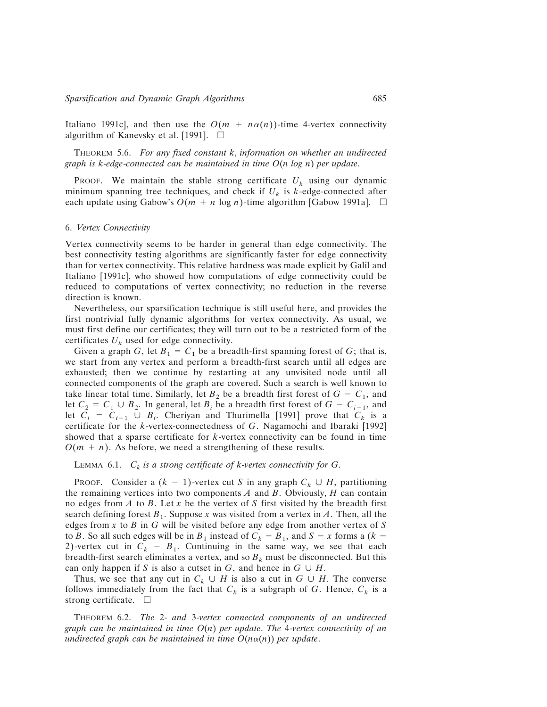Italiano 1991c], and then use the  $O(m + n\alpha(n))$ -time 4-vertex connectivity algorithm of Kanevsky et al. [1991].  $\Box$ 

THEOREM 5.6. *For any fixed constant k*, *information on whether an undirected graph is k*-*edge*-*connected can be maintained in time O*(*n log n*) *per update*.

PROOF. We maintain the stable strong certificate  $U_k$  using our dynamic minimum spanning tree techniques, and check if  $U_k$  is  $k$ -edge-connected after each update using Gabow's  $O(m + n \log n)$ -time algorithm [Gabow 1991a].  $\square$ 

#### 6. *Vertex Connectivity*

Vertex connectivity seems to be harder in general than edge connectivity. The best connectivity testing algorithms are significantly faster for edge connectivity than for vertex connectivity. This relative hardness was made explicit by Galil and Italiano [1991c], who showed how computations of edge connectivity could be reduced to computations of vertex connectivity; no reduction in the reverse direction is known.

Nevertheless, our sparsification technique is still useful here, and provides the first nontrivial fully dynamic algorithms for vertex connectivity. As usual, we must first define our certificates; they will turn out to be a restricted form of the certificates *Uk* used for edge connectivity.

Given a graph *G*, let  $B_1 = C_1$  be a breadth-first spanning forest of *G*; that is, we start from any vertex and perform a breadth-first search until all edges are exhausted; then we continue by restarting at any unvisited node until all connected components of the graph are covered. Such a search is well known to take linear total time. Similarly, let  $B_2$  be a breadth first forest of  $G - C_1$ , and let  $C_2 = C_1 \cup B_2$ . In general, let  $B_i$  be a breadth first forest of  $G - C_{i-1}$ , and let  $C_i = C_{i-1} \cup B_i$ . Cheriyan and Thurimella [1991] prove that  $C_k$  is a certificate for the *k*-vertex-connectedness of *G*. Nagamochi and Ibaraki [1992] showed that a sparse certificate for *k*-vertex connectivity can be found in time  $O(m + n)$ . As before, we need a strengthening of these results.

# LEMMA 6.1.  $C_k$  *is a strong certificate of k-vertex connectivity for G.*

PROOF. Consider a  $(k - 1)$ -vertex cut *S* in any graph  $C_k \cup H$ , partitioning the remaining vertices into two components  $A$  and  $B$ . Obviously,  $H$  can contain no edges from *A* to *B*. Let *x* be the vertex of *S* first visited by the breadth first search defining forest  $B_1$ . Suppose *x* was visited from a vertex in *A*. Then, all the edges from *x* to *B* in *G* will be visited before any edge from another vertex of *S* to *B*. So all such edges will be in  $B_1$  instead of  $C_k - B_1$ , and  $S - x$  forms a (*k* -2)-vertex cut in  $C_k - B_1$ . Continuing in the same way, we see that each breadth-first search eliminates a vertex, and so  $B_k$  must be disconnected. But this can only happen if *S* is also a cutset in *G*, and hence in  $G \cup H$ .

Thus, we see that any cut in  $C_k \cup H$  is also a cut in  $G \cup H$ . The converse follows immediately from the fact that  $C_k$  is a subgraph of *G*. Hence,  $C_k$  is a strong certificate.  $\square$ 

THEOREM 6.2. *The* 2- *and* 3-*vertex connected components of an undirected graph can be maintained in time O*(*n*) *per update*. *The* 4-*vertex connectivity of an undirected graph can be maintained in time*  $O(n\alpha(n))$  *per update.*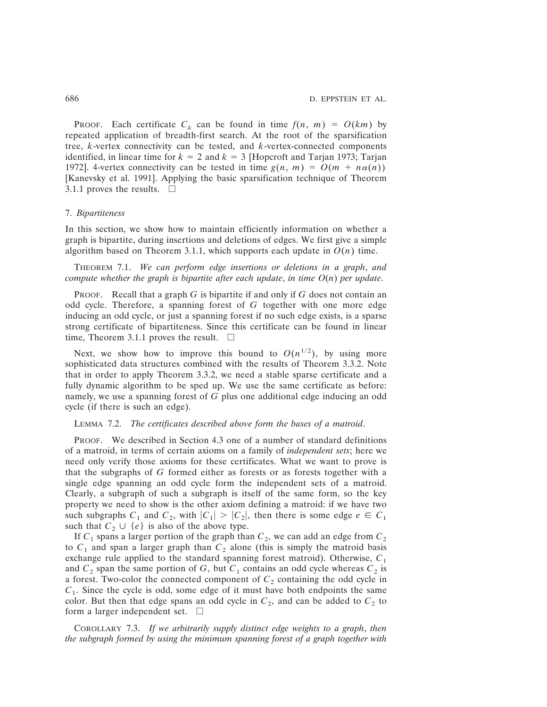PROOF. Each certificate  $C_k$  can be found in time  $f(n, m) = O(km)$  by repeated application of breadth-first search. At the root of the sparsification tree, *k*-vertex connectivity can be tested, and *k*-vertex-connected components identified, in linear time for  $k = 2$  and  $k = 3$  [Hopcroft and Tarjan 1973; Tarjan 1972]. 4-vertex connectivity can be tested in time  $g(n, m) = O(m + n\alpha(n))$ [Kanevsky et al. 1991]. Applying the basic sparsification technique of Theorem 3.1.1 proves the results.  $\Box$ 

#### 7. *Bipartiteness*

In this section, we show how to maintain efficiently information on whether a graph is bipartite, during insertions and deletions of edges. We first give a simple algorithm based on Theorem 3.1.1, which supports each update in  $O(n)$  time.

THEOREM 7.1. *We can perform edge insertions or deletions in a graph*, *and compute whether the graph is bipartite after each update*, *in time O*(*n*) *per update*.

PROOF. Recall that a graph *G* is bipartite if and only if *G* does not contain an odd cycle. Therefore, a spanning forest of *G* together with one more edge inducing an odd cycle, or just a spanning forest if no such edge exists, is a sparse strong certificate of bipartiteness. Since this certificate can be found in linear time, Theorem 3.1.1 proves the result.  $\square$ 

Next, we show how to improve this bound to  $O(n^{1/2})$ , by using more sophisticated data structures combined with the results of Theorem 3.3.2. Note that in order to apply Theorem 3.3.2, we need a stable sparse certificate and a fully dynamic algorithm to be sped up. We use the same certificate as before: namely, we use a spanning forest of *G* plus one additional edge inducing an odd cycle (if there is such an edge).

#### LEMMA 7.2. *The certificates described above form the bases of a matroid*.

PROOF. We described in Section 4.3 one of a number of standard definitions of a matroid, in terms of certain axioms on a family of *independent sets*; here we need only verify those axioms for these certificates. What we want to prove is that the subgraphs of *G* formed either as forests or as forests together with a single edge spanning an odd cycle form the independent sets of a matroid. Clearly, a subgraph of such a subgraph is itself of the same form, so the key property we need to show is the other axiom defining a matroid: if we have two such subgraphs  $C_1$  and  $C_2$ , with  $|C_1| > |C_2|$ , then there is some edge  $e \in C_1$ such that  $C_2 \cup \{e\}$  is also of the above type.

If  $C_1$  spans a larger portion of the graph than  $C_2$ , we can add an edge from  $C_2$ to  $C_1$  and span a larger graph than  $C_2$  alone (this is simply the matroid basis exchange rule applied to the standard spanning forest matroid). Otherwise,  $C_1$ and  $C_2$  span the same portion of  $G$ , but  $C_1$  contains an odd cycle whereas  $C_2$  is a forest. Two-color the connected component of  $C_2$  containing the odd cycle in *C*1. Since the cycle is odd, some edge of it must have both endpoints the same color. But then that edge spans an odd cycle in  $C_2$ , and can be added to  $C_2$  to form a larger independent set.  $\Box$ 

COROLLARY 7.3. *If we arbitrarily supply distinct edge weights to a graph*, *then the subgraph formed by using the minimum spanning forest of a graph together with*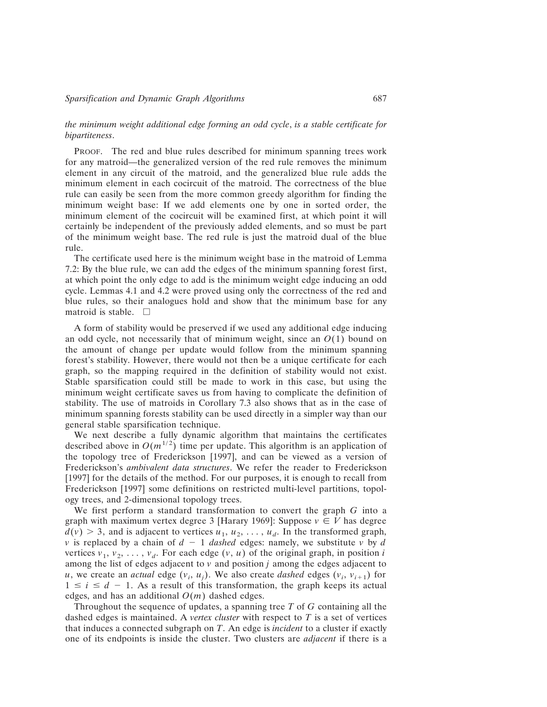# *the minimum weight additional edge forming an odd cycle*, *is a stable certificate for bipartiteness*.

PROOF. The red and blue rules described for minimum spanning trees work for any matroid—the generalized version of the red rule removes the minimum element in any circuit of the matroid, and the generalized blue rule adds the minimum element in each cocircuit of the matroid. The correctness of the blue rule can easily be seen from the more common greedy algorithm for finding the minimum weight base: If we add elements one by one in sorted order, the minimum element of the cocircuit will be examined first, at which point it will certainly be independent of the previously added elements, and so must be part of the minimum weight base. The red rule is just the matroid dual of the blue rule.

The certificate used here is the minimum weight base in the matroid of Lemma 7.2: By the blue rule, we can add the edges of the minimum spanning forest first, at which point the only edge to add is the minimum weight edge inducing an odd cycle. Lemmas 4.1 and 4.2 were proved using only the correctness of the red and blue rules, so their analogues hold and show that the minimum base for any matroid is stable.  $\square$ 

A form of stability would be preserved if we used any additional edge inducing an odd cycle, not necessarily that of minimum weight, since an  $O(1)$  bound on the amount of change per update would follow from the minimum spanning forest's stability. However, there would not then be a unique certificate for each graph, so the mapping required in the definition of stability would not exist. Stable sparsification could still be made to work in this case, but using the minimum weight certificate saves us from having to complicate the definition of stability. The use of matroids in Corollary 7.3 also shows that as in the case of minimum spanning forests stability can be used directly in a simpler way than our general stable sparsification technique.

We next describe a fully dynamic algorithm that maintains the certificates described above in  $O(m^{1/2})$  time per update. This algorithm is an application of the topology tree of Frederickson [1997], and can be viewed as a version of Frederickson's *ambivalent data structures*. We refer the reader to Frederickson [1997] for the details of the method. For our purposes, it is enough to recall from Frederickson [1997] some definitions on restricted multi-level partitions, topology trees, and 2-dimensional topology trees.

We first perform a standard transformation to convert the graph *G* into a graph with maximum vertex degree 3 [Harary 1969]: Suppose  $v \in V$  has degree  $d(v) > 3$ , and is adjacent to vertices  $u_1, u_2, \ldots, u_d$ . In the transformed graph, *v* is replaced by a chain of  $d - 1$  *dashed* edges: namely, we substitute *v* by *d* vertices  $v_1, v_2, \ldots, v_d$ . For each edge  $(v, u)$  of the original graph, in position *i* among the list of edges adjacent to *v* and position *j* among the edges adjacent to *u*, we create an *actual* edge  $(v_i, u_j)$ . We also create *dashed* edges  $(v_i, v_{i+1})$  for  $1 \le i \le d - 1$ . As a result of this transformation, the graph keeps its actual edges, and has an additional  $O(m)$  dashed edges.

Throughout the sequence of updates, a spanning tree *T* of *G* containing all the dashed edges is maintained. A *vertex cluster* with respect to *T* is a set of vertices that induces a connected subgraph on *T*. An edge is *incident* to a cluster if exactly one of its endpoints is inside the cluster. Two clusters are *adjacent* if there is a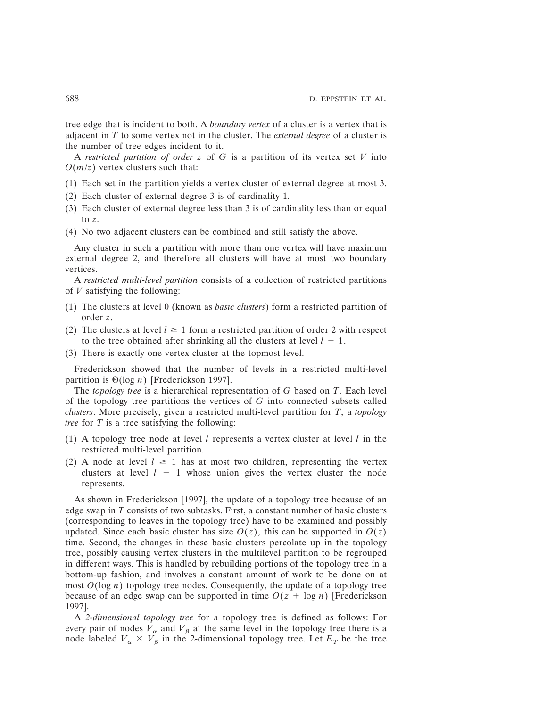tree edge that is incident to both. A *boundary vertex* of a cluster is a vertex that is adjacent in *T* to some vertex not in the cluster. The *external degree* of a cluster is the number of tree edges incident to it.

A *restricted partition of order z* of *G* is a partition of its vertex set *V* into  $O(m/z)$  vertex clusters such that:

- (1) Each set in the partition yields a vertex cluster of external degree at most 3.
- (2) Each cluster of external degree 3 is of cardinality 1.
- (3) Each cluster of external degree less than 3 is of cardinality less than or equal to *z*.
- (4) No two adjacent clusters can be combined and still satisfy the above.

Any cluster in such a partition with more than one vertex will have maximum external degree 2, and therefore all clusters will have at most two boundary vertices.

A *restricted multi-level partition* consists of a collection of restricted partitions of *V* satisfying the following:

- (1) The clusters at level 0 (known as *basic clusters*) form a restricted partition of order *z*.
- (2) The clusters at level  $l \ge 1$  form a restricted partition of order 2 with respect to the tree obtained after shrinking all the clusters at level  $l - 1$ .
- (3) There is exactly one vertex cluster at the topmost level.

Frederickson showed that the number of levels in a restricted multi-level partition is Q(log *n*) [Frederickson 1997].

The *topology tree* is a hierarchical representation of *G* based on *T*. Each level of the topology tree partitions the vertices of *G* into connected subsets called *clusters*. More precisely, given a restricted multi-level partition for *T*, a *topology tree* for *T* is a tree satisfying the following:

- (1) A topology tree node at level *l* represents a vertex cluster at level *l* in the restricted multi-level partition.
- (2) A node at level  $l \ge 1$  has at most two children, representing the vertex clusters at level  $l - 1$  whose union gives the vertex cluster the node represents.

As shown in Frederickson [1997], the update of a topology tree because of an edge swap in *T* consists of two subtasks. First, a constant number of basic clusters (corresponding to leaves in the topology tree) have to be examined and possibly updated. Since each basic cluster has size  $O(z)$ , this can be supported in  $O(z)$ time. Second, the changes in these basic clusters percolate up in the topology tree, possibly causing vertex clusters in the multilevel partition to be regrouped in different ways. This is handled by rebuilding portions of the topology tree in a bottom-up fashion, and involves a constant amount of work to be done on at most *O*(log *n*) topology tree nodes. Consequently, the update of a topology tree because of an edge swap can be supported in time  $O(z + \log n)$  [Frederickson 1997].

A *2-dimensional topology tree* for a topology tree is defined as follows: For every pair of nodes  $V_\alpha$  and  $V_\beta$  at the same level in the topology tree there is a node labeled  $V_\alpha \times V_\beta$  in the 2-dimensional topology tree. Let  $E_T$  be the tree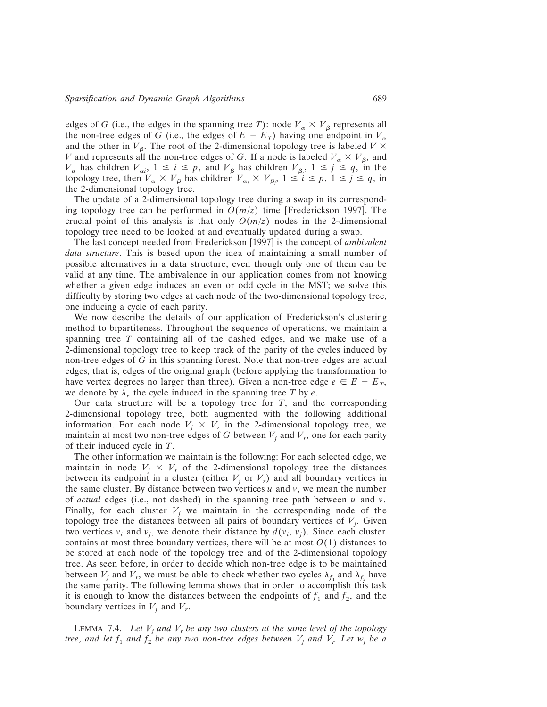edges of *G* (i.e., the edges in the spanning tree *T*): node  $V_\alpha \times V_\beta$  represents all the non-tree edges of *G* (i.e., the edges of  $E - E_T$ ) having one endpoint in  $V_\alpha$ and the other in  $V_{\beta}$ . The root of the 2-dimensional topology tree is labeled  $V \times$ *V* and represents all the non-tree edges of *G*. If a node is labeled  $V_\alpha \times V_\beta$ , and  $V_{\alpha}$  has children  $V_{\alpha i}$ ,  $1 \le i \le p$ , and  $V_{\beta}$  has children  $V_{\beta j}$ ,  $1 \le j \le q$ , in the topology tree, then  $V_{\alpha} \times V_{\beta}$  has children  $V_{\alpha_i} \times V_{\beta_j}$ ,  $1 \le i \le p$ ,  $1 \le j \le q$ , in the 2-dimensional topology tree.

The update of a 2-dimensional topology tree during a swap in its corresponding topology tree can be performed in  $O(m/z)$  time [Frederickson 1997]. The crucial point of this analysis is that only  $O(m/z)$  nodes in the 2-dimensional topology tree need to be looked at and eventually updated during a swap.

The last concept needed from Frederickson [1997] is the concept of *ambivalent data structure*. This is based upon the idea of maintaining a small number of possible alternatives in a data structure, even though only one of them can be valid at any time. The ambivalence in our application comes from not knowing whether a given edge induces an even or odd cycle in the MST; we solve this difficulty by storing two edges at each node of the two-dimensional topology tree, one inducing a cycle of each parity.

We now describe the details of our application of Frederickson's clustering method to bipartiteness. Throughout the sequence of operations, we maintain a spanning tree *T* containing all of the dashed edges, and we make use of a 2-dimensional topology tree to keep track of the parity of the cycles induced by non-tree edges of *G* in this spanning forest. Note that non-tree edges are actual edges, that is, edges of the original graph (before applying the transformation to have vertex degrees no larger than three). Given a non-tree edge  $e \in E - E_T$ , we denote by  $\lambda_e$  the cycle induced in the spanning tree *T* by *e*.

Our data structure will be a topology tree for *T*, and the corresponding 2-dimensional topology tree, both augmented with the following additional information. For each node  $V_i \times V_r$  in the 2-dimensional topology tree, we maintain at most two non-tree edges of *G* between  $V_j$  and  $V_r$ , one for each parity of their induced cycle in *T*.

The other information we maintain is the following: For each selected edge, we maintain in node  $V_i \times V_r$  of the 2-dimensional topology tree the distances between its endpoint in a cluster (either  $V_i$  or  $V_r$ ) and all boundary vertices in the same cluster. By distance between two vertices  $u$  and  $v$ , we mean the number of *actual* edges (i.e., not dashed) in the spanning tree path between *u* and *v*. Finally, for each cluster  $V_i$  we maintain in the corresponding node of the topology tree the distances between all pairs of boundary vertices of *Vj* . Given two vertices  $v_i$  and  $v_j$ , we denote their distance by  $d(v_i, v_j)$ . Since each cluster contains at most three boundary vertices, there will be at most  $O(1)$  distances to be stored at each node of the topology tree and of the 2-dimensional topology tree. As seen before, in order to decide which non-tree edge is to be maintained between  $V_i$  and  $V_r$ , we must be able to check whether two cycles  $\lambda_{f_1}$  and  $\lambda_{f_2}$  have the same parity. The following lemma shows that in order to accomplish this task it is enough to know the distances between the endpoints of  $f_1$  and  $f_2$ , and the boundary vertices in  $V_i$  and  $V_r$ .

LEMMA 7.4. *Let*  $V_i$  *and*  $V_r$  *be any two clusters at the same level of the topology tree, and let*  $f_1$  *and*  $f_2$  *be any two non-tree edges between*  $V_i$  *and*  $V_r$ . Let  $w_i$  *be a*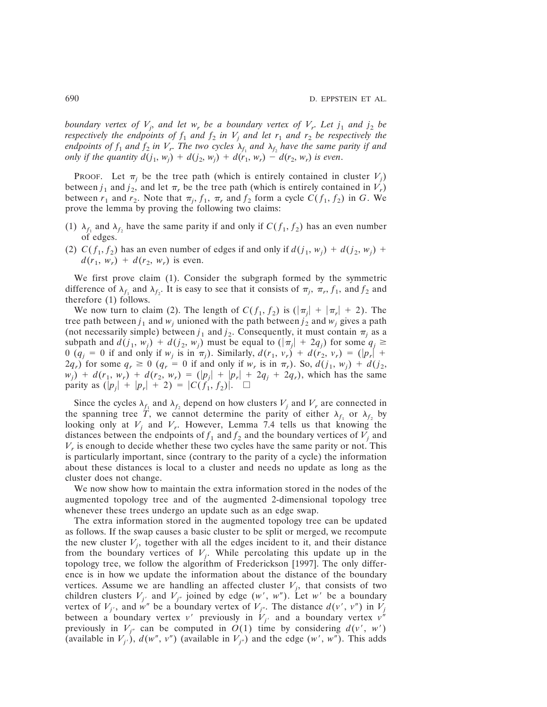*boundary vertex of Vj* , *and let wr be a boundary vertex of Vr*. *Let j*<sup>1</sup> *and j*<sup>2</sup> *be respectively the endpoints of*  $f_1$  *and*  $f_2$  *in*  $V_j$  *and let*  $r_1$  *and*  $r_2$  *be respectively the endpoints of f*<sub>1</sub> *and f*<sub>2</sub> *in V<sub>r</sub>. The two cycles*  $\lambda_{f_1}$  *and*  $\lambda_{f_2}$  *have the same parity if and only if the quantity*  $d(j_1, w_j) + d(j_2, w_j) + d(r_1, w_r) - d(r_2, w_r)$  *is even.* 

PROOF. Let  $\pi_j$  be the tree path (which is entirely contained in cluster  $V_j$ ) between  $j_1$  and  $j_2$ , and let  $\pi_r$  be the tree path (which is entirely contained in  $V_r$ ) between  $r_1$  and  $r_2$ . Note that  $\pi_j$ ,  $f_1$ ,  $\pi_r$  and  $f_2$  form a cycle  $C(f_1, f_2)$  in G. We prove the lemma by proving the following two claims:

- (1)  $\lambda_{f_1}$  and  $\lambda_{f_2}$  have the same parity if and only if  $C(f_1, f_2)$  has an even number of edges.
- (2)  $C(f_1, f_2)$  has an even number of edges if and only if  $d(j_1, w_j) + d(j_2, w_j) + d(j_3, w_j)$  $d(r_1, w_r) + d(r_2, w_r)$  is even.

We first prove claim (1). Consider the subgraph formed by the symmetric difference of  $\lambda_{f_1}$  and  $\lambda_{f_2}$ . It is easy to see that it consists of  $\pi_j$ ,  $\pi_r$ ,  $f_1$ , and  $f_2$  and therefore (1) follows.

We now turn to claim (2). The length of  $C(f_1, f_2)$  is  $(|\pi_j| + |\pi_r| + 2)$ . The tree path between  $j_1$  and  $w_j$  unioned with the path between  $j_2$  and  $w_j$  gives a path (not necessarily simple) between  $j_1$  and  $j_2$ . Consequently, it must contain  $\pi_j$  as a subpath and  $d(j_1, w_j) + d(j_2, w_j)$  must be equal to  $(|\pi_j| + 2q_j)$  for some  $q_j \ge$ 0 ( $q_j = 0$  if and only if  $w_j$  is in  $\pi_j$ ). Similarly,  $d(r_1, v_r) + d(r_2, v_r) = (|p_r| +$  $2q_r$ ) for some  $q_r \ge 0$  ( $q_r = 0$  if and only if  $w_r$  is in  $\pi_r$ ). So,  $d(j_1, w_j) + d(j_2,$  $(w_j) + d(r_1, w_r) + d(r_2, w_r) = (|p_j| + |p_r| + 2q_j + 2q_r)$ , which has the same  $\text{parity as } ([p_j] + |p_r| + 2) = |C(f_1, f_2)|. \quad \Box$ 

Since the cycles  $\lambda_{f_1}$  and  $\lambda_{f_2}$  depend on how clusters  $V_j$  and  $V_r$  are connected in the spanning tree  $T$ , we cannot determine the parity of either  $\lambda_{f_1}$  or  $\lambda_{f_2}$  by looking only at  $V_i$  and  $V_r$ . However, Lemma 7.4 tells us that knowing the distances between the endpoints of  $f_1$  and  $f_2$  and the boundary vertices of  $V_i$  and  $V_r$  is enough to decide whether these two cycles have the same parity or not. This is particularly important, since (contrary to the parity of a cycle) the information about these distances is local to a cluster and needs no update as long as the cluster does not change.

We now show how to maintain the extra information stored in the nodes of the augmented topology tree and of the augmented 2-dimensional topology tree whenever these trees undergo an update such as an edge swap.

The extra information stored in the augmented topology tree can be updated as follows. If the swap causes a basic cluster to be split or merged, we recompute the new cluster  $V_j$ , together with all the edges incident to it, and their distance from the boundary vertices of *Vj* . While percolating this update up in the topology tree, we follow the algorithm of Frederickson [1997]. The only difference is in how we update the information about the distance of the boundary vertices. Assume we are handling an affected cluster  $V_j$ , that consists of two children clusters  $V_{j'}$  and  $V_{j''}$  joined by edge (*w'*, *w*"). Let *w'* be a boundary vertex of  $V_j$ , and *w*<sup>*n*</sup> be a boundary vertex of  $V_{j''}$ . The distance  $d(v', v'')$  in  $V_j$ between a boundary vertex  $v'$  previously in  $V_{j'}$  and a boundary vertex  $v''$ previously in  $V_{j''}$  can be computed in  $O(1)$  time by considering  $d(v', w')$ (available in  $V_i$ ),  $d(w'', v'')$  (available in  $V_{i''}$ ) and the edge (*w'*, *w*"). This adds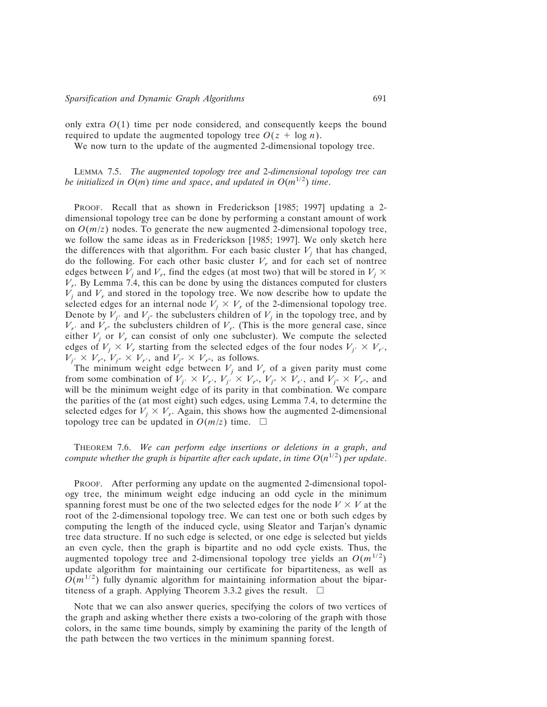only extra  $O(1)$  time per node considered, and consequently keeps the bound required to update the augmented topology tree  $O(z + \log n)$ .

We now turn to the update of the augmented 2-dimensional topology tree.

LEMMA 7.5. *The augmented topology tree and* 2-*dimensional topology tree can be initialized in*  $O(m)$  *<i>time and space, and updated in*  $O(m^{1/2})$  *time.* 

PROOF. Recall that as shown in Frederickson [1985; 1997] updating a 2 dimensional topology tree can be done by performing a constant amount of work on  $O(m/z)$  nodes. To generate the new augmented 2-dimensional topology tree, we follow the same ideas as in Frederickson [1985; 1997]. We only sketch here the differences with that algorithm. For each basic cluster  $V_i$  that has changed, do the following. For each other basic cluster  $V_r$  and for each set of nontree edges between  $V_i$  and  $V_r$ , find the edges (at most two) that will be stored in  $V_i \times$ *Vr*. By Lemma 7.4, this can be done by using the distances computed for clusters  $V_i$  and  $V_r$  and stored in the topology tree. We now describe how to update the selected edges for an internal node  $V_i \times V_r$  of the 2-dimensional topology tree. Denote by  $V_{j'}$  and  $V_{j''}$  the subclusters children of  $V_j$  in the topology tree, and by  $V_{r}$  and  $V_{r}$ <sup>n</sup> the subclusters children of  $V_{r}$ . (This is the more general case, since either  $V_j$  or  $V_r$  can consist of only one subcluster). We compute the selected edges of  $V_j \times V_r$  starting from the selected edges of the four nodes  $V_{j'} \times V_{r}$ ,  $V_{j'} \times V_{r''}, V_{j''} \times V_{r'}$ , and  $V_{j''} \times V_{r''}$ , as follows.

The minimum weight edge between  $V_j$  and  $V_r$  of a given parity must come from some combination of  $V_{j'} \times V_{r}$ ,  $V_{j'} \times V_{r''}$ ,  $V_{j''} \times V_{r}$ , and  $V_{j''} \times V_{r''}$ , and will be the minimum weight edge of its parity in that combination. We compare the parities of the (at most eight) such edges, using Lemma 7.4, to determine the selected edges for  $V_i \times V_r$ . Again, this shows how the augmented 2-dimensional topology tree can be updated in  $O(m/z)$  time.  $\square$ 

THEOREM 7.6. *We can perform edge insertions or deletions in a graph*, *and compute whether the graph is bipartite after each update, in time*  $O(n^{1/2})$  *per update.* 

PROOF. After performing any update on the augmented 2-dimensional topology tree, the minimum weight edge inducing an odd cycle in the minimum spanning forest must be one of the two selected edges for the node  $V \times V$  at the root of the 2-dimensional topology tree. We can test one or both such edges by computing the length of the induced cycle, using Sleator and Tarjan's dynamic tree data structure. If no such edge is selected, or one edge is selected but yields an even cycle, then the graph is bipartite and no odd cycle exists. Thus, the augmented topology tree and 2-dimensional topology tree yields an  $O(m^{1/2})$ update algorithm for maintaining our certificate for bipartiteness, as well as  $O(m^{1/2})$  fully dynamic algorithm for maintaining information about the bipartiteness of a graph. Applying Theorem 3.3.2 gives the result.  $\Box$ 

Note that we can also answer queries, specifying the colors of two vertices of the graph and asking whether there exists a two-coloring of the graph with those colors, in the same time bounds, simply by examining the parity of the length of the path between the two vertices in the minimum spanning forest.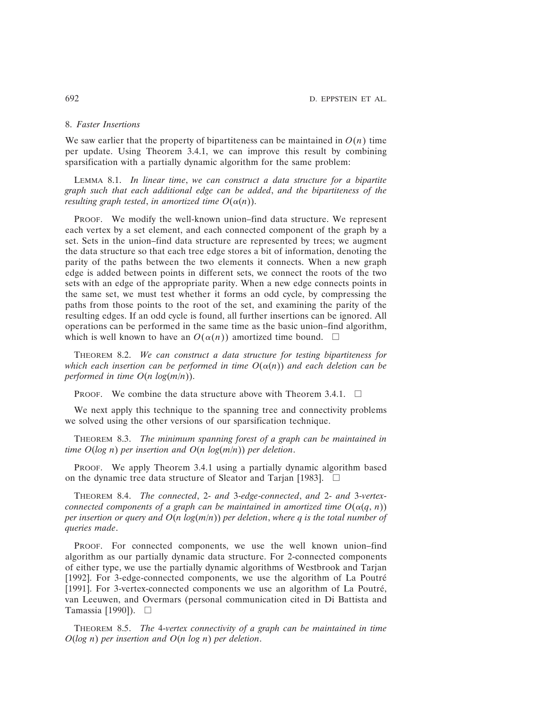#### 8. *Faster Insertions*

We saw earlier that the property of bipartiteness can be maintained in  $O(n)$  time per update. Using Theorem 3.4.1, we can improve this result by combining sparsification with a partially dynamic algorithm for the same problem:

LEMMA 8.1. *In linear time*, *we can construct a data structure for a bipartite graph such that each additional edge can be added*, *and the bipartiteness of the resulting graph tested, in amortized time*  $O(\alpha(n))$ .

PROOF. We modify the well-known union–find data structure. We represent each vertex by a set element, and each connected component of the graph by a set. Sets in the union–find data structure are represented by trees; we augment the data structure so that each tree edge stores a bit of information, denoting the parity of the paths between the two elements it connects. When a new graph edge is added between points in different sets, we connect the roots of the two sets with an edge of the appropriate parity. When a new edge connects points in the same set, we must test whether it forms an odd cycle, by compressing the paths from those points to the root of the set, and examining the parity of the resulting edges. If an odd cycle is found, all further insertions can be ignored. All operations can be performed in the same time as the basic union–find algorithm, which is well known to have an  $O(\alpha(n))$  amortized time bound.  $\square$ 

THEOREM 8.2. *We can construct a data structure for testing bipartiteness for which each insertion can be performed in time*  $O(\alpha(n))$  *and each deletion can be performed in time*  $O(n \log(m/n))$ *.* 

PROOF. We combine the data structure above with Theorem 3.4.1.  $\Box$ 

We next apply this technique to the spanning tree and connectivity problems we solved using the other versions of our sparsification technique.

THEOREM 8.3. *The minimum spanning forest of a graph can be maintained in time O*(*log n*) *per insertion and O*(*n log*(*m*/*n*)) *per deletion*.

PROOF. We apply Theorem 3.4.1 using a partially dynamic algorithm based on the dynamic tree data structure of Sleator and Tarjan [1983].  $\square$ 

THEOREM 8.4. *The connected*, 2- *and* 3-*edge*-*connected*, *and* 2- *and* 3-*vertexconnected components of a graph can be maintained in amortized time*  $O(\alpha(q, n))$ *per insertion or query and O*(*n log*(*m*/*n*)) *per deletion*, *where q is the total number of queries made*.

PROOF. For connected components, we use the well known union–find algorithm as our partially dynamic data structure. For 2-connected components of either type, we use the partially dynamic algorithms of Westbrook and Tarjan [1992]. For 3-edge-connected components, we use the algorithm of La Poutré [1991]. For 3-vertex-connected components we use an algorithm of La Poutré, van Leeuwen, and Overmars (personal communication cited in Di Battista and Tamassia [1990]).  $\square$ 

THEOREM 8.5. *The* 4-*vertex connectivity of a graph can be maintained in time O*(*log n*) *per insertion and O*(*n log n*) *per deletion*.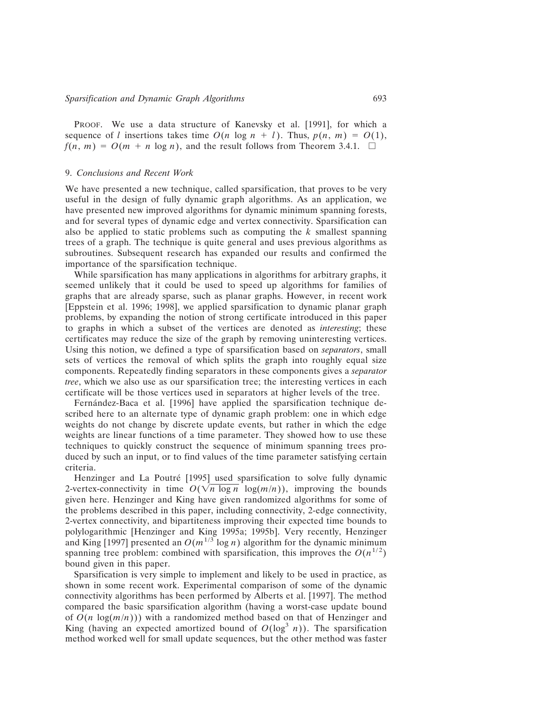PROOF. We use a data structure of Kanevsky et al. [1991], for which a sequence of *l* insertions takes time  $O(n \log n + l)$ . Thus,  $p(n, m) = O(1)$ ,  $f(n, m) = O(m + n \log n)$ , and the result follows from Theorem 3.4.1.  $\Box$ 

#### 9. *Conclusions and Recent Work*

We have presented a new technique, called sparsification, that proves to be very useful in the design of fully dynamic graph algorithms. As an application, we have presented new improved algorithms for dynamic minimum spanning forests, and for several types of dynamic edge and vertex connectivity. Sparsification can also be applied to static problems such as computing the *k* smallest spanning trees of a graph. The technique is quite general and uses previous algorithms as subroutines. Subsequent research has expanded our results and confirmed the importance of the sparsification technique.

While sparsification has many applications in algorithms for arbitrary graphs, it seemed unlikely that it could be used to speed up algorithms for families of graphs that are already sparse, such as planar graphs. However, in recent work [Eppstein et al. 1996; 1998], we applied sparsification to dynamic planar graph problems, by expanding the notion of strong certificate introduced in this paper to graphs in which a subset of the vertices are denoted as *interesting*; these certificates may reduce the size of the graph by removing uninteresting vertices. Using this notion, we defined a type of sparsification based on *separators*, small sets of vertices the removal of which splits the graph into roughly equal size components. Repeatedly finding separators in these components gives a *separator tree*, which we also use as our sparsification tree; the interesting vertices in each certificate will be those vertices used in separators at higher levels of the tree.

Fernández-Baca et al. [1996] have applied the sparsification technique described here to an alternate type of dynamic graph problem: one in which edge weights do not change by discrete update events, but rather in which the edge weights are linear functions of a time parameter. They showed how to use these techniques to quickly construct the sequence of minimum spanning trees produced by such an input, or to find values of the time parameter satisfying certain criteria.

Henzinger and La Poutré [1995] used sparsification to solve fully dynamic 2-vertex-connectivity in time  $O(\sqrt{n} \log n \log(m/n))$ , improving the bounds given here. Henzinger and King have given randomized algorithms for some of the problems described in this paper, including connectivity, 2-edge connectivity, 2-vertex connectivity, and bipartiteness improving their expected time bounds to polylogarithmic [Henzinger and King 1995a; 1995b]. Very recently, Henzinger and King [1997] presented an  $O(m^{1/3} \log n)$  algorithm for the dynamic minimum spanning tree problem: combined with sparsification, this improves the  $O(n^{1/2})$ bound given in this paper.

Sparsification is very simple to implement and likely to be used in practice, as shown in some recent work. Experimental comparison of some of the dynamic connectivity algorithms has been performed by Alberts et al. [1997]. The method compared the basic sparsification algorithm (having a worst-case update bound of  $O(n \log(m/n))$ ) with a randomized method based on that of Henzinger and King (having an expected amortized bound of  $O(\log^3 n)$ ). The sparsification method worked well for small update sequences, but the other method was faster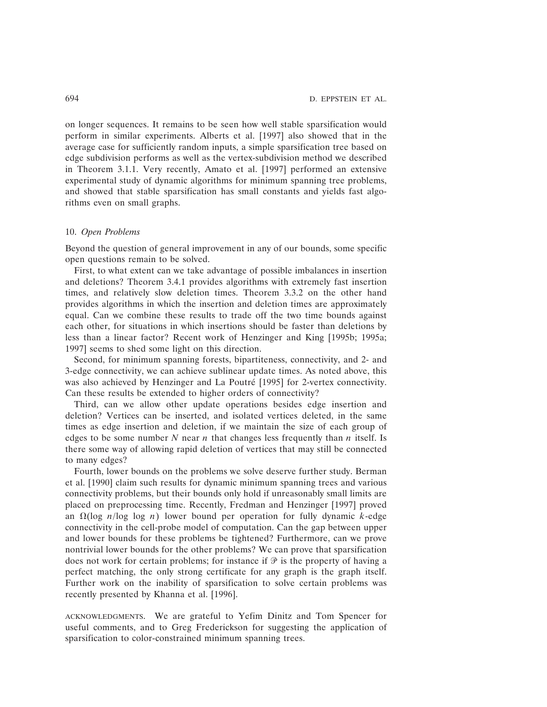on longer sequences. It remains to be seen how well stable sparsification would perform in similar experiments. Alberts et al. [1997] also showed that in the average case for sufficiently random inputs, a simple sparsification tree based on edge subdivision performs as well as the vertex-subdivision method we described in Theorem 3.1.1. Very recently, Amato et al. [1997] performed an extensive experimental study of dynamic algorithms for minimum spanning tree problems, and showed that stable sparsification has small constants and yields fast algorithms even on small graphs.

# 10. *Open Problems*

Beyond the question of general improvement in any of our bounds, some specific open questions remain to be solved.

First, to what extent can we take advantage of possible imbalances in insertion and deletions? Theorem 3.4.1 provides algorithms with extremely fast insertion times, and relatively slow deletion times. Theorem 3.3.2 on the other hand provides algorithms in which the insertion and deletion times are approximately equal. Can we combine these results to trade off the two time bounds against each other, for situations in which insertions should be faster than deletions by less than a linear factor? Recent work of Henzinger and King [1995b; 1995a; 1997] seems to shed some light on this direction.

Second, for minimum spanning forests, bipartiteness, connectivity, and 2- and 3-edge connectivity, we can achieve sublinear update times. As noted above, this was also achieved by Henzinger and La Poutré [1995] for 2-vertex connectivity. Can these results be extended to higher orders of connectivity?

Third, can we allow other update operations besides edge insertion and deletion? Vertices can be inserted, and isolated vertices deleted, in the same times as edge insertion and deletion, if we maintain the size of each group of edges to be some number  $N$  near  $n$  that changes less frequently than  $n$  itself. Is there some way of allowing rapid deletion of vertices that may still be connected to many edges?

Fourth, lower bounds on the problems we solve deserve further study. Berman et al. [1990] claim such results for dynamic minimum spanning trees and various connectivity problems, but their bounds only hold if unreasonably small limits are placed on preprocessing time. Recently, Fredman and Henzinger [1997] proved an  $\Omega(\log n / \log \log n)$  lower bound per operation for fully dynamic *k*-edge connectivity in the cell-probe model of computation. Can the gap between upper and lower bounds for these problems be tightened? Furthermore, can we prove nontrivial lower bounds for the other problems? We can prove that sparsification does not work for certain problems; for instance if  $\mathcal P$  is the property of having a perfect matching, the only strong certificate for any graph is the graph itself. Further work on the inability of sparsification to solve certain problems was recently presented by Khanna et al. [1996].

ACKNOWLEDGMENTS. We are grateful to Yefim Dinitz and Tom Spencer for useful comments, and to Greg Frederickson for suggesting the application of sparsification to color-constrained minimum spanning trees.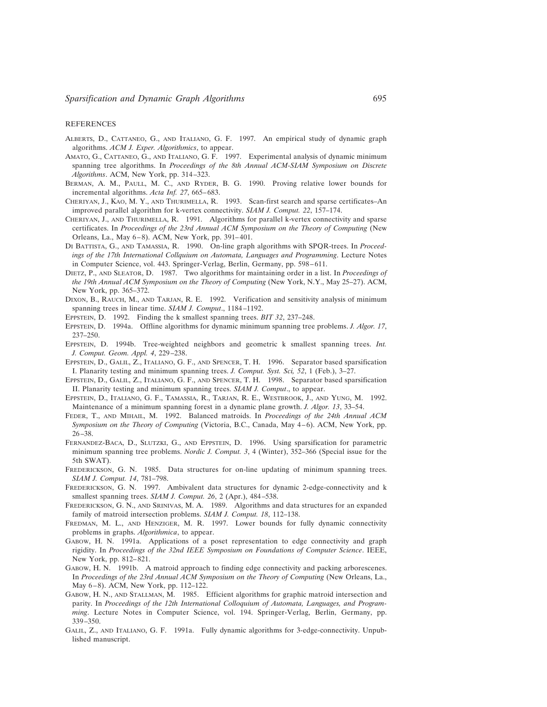#### **REFERENCES**

- ALBERTS, D., CATTANEO, G., AND ITALIANO, G. F. 1997. An empirical study of dynamic graph algorithms. *ACM J. Exper. Algorithmics*, to appear.
- AMATO, G., CATTANEO, G., AND ITALIANO, G. F. 1997. Experimental analysis of dynamic minimum spanning tree algorithms. In *Proceedings of the 8th Annual ACM-SIAM Symposium on Discrete Algorithms*. ACM, New York, pp. 314–323.
- BERMAN, A. M., PAULL, M. C., AND RYDER, B. G. 1990. Proving relative lower bounds for incremental algorithms. *Acta Inf. 27*, 665–683.
- CHERIYAN, J., KAO, M. Y., AND THURIMELLA, R. 1993. Scan-first search and sparse certificates–An improved parallel algorithm for k-vertex connectivity. *SIAM J. Comput. 22*, 157–174.
- CHERIYAN, J., AND THURIMELLA, R. 1991. Algorithms for parallel k-vertex connectivity and sparse certificates. In *Proceedings of the 23rd Annual ACM Symposium on the Theory of Computing* (New Orleans, La., May 6–8). ACM, New York, pp. 391–401.
- DI BATTISTA, G., AND TAMASSIA, R. 1990. On-line graph algorithms with SPQR-trees. In *Proceedings of the 17th International Collquium on Automata, Languages and Programming*. Lecture Notes in Computer Science, vol. 443. Springer-Verlag, Berlin, Germany, pp. 598–611.
- DIETZ, P., AND SLEATOR, D. 1987. Two algorithms for maintaining order in a list. In *Proceedings of the 19th Annual ACM Symposium on the Theory of Computing* (New York, N.Y., May 25–27). ACM, New York, pp. 365–372.
- DIXON, B., RAUCH, M., AND TARJAN, R. E. 1992. Verification and sensitivity analysis of minimum spanning trees in linear time. *SIAM J. Comput*., 1184–1192.
- EPPSTEIN, D. 1992. Finding the k smallest spanning trees. *BIT 32*, 237–248.
- EPPSTEIN, D. 1994a. Offline algorithms for dynamic minimum spanning tree problems. *J. Algor. 17*, 237–250.
- EPPSTEIN, D. 1994b. Tree-weighted neighbors and geometric k smallest spanning trees. *Int. J. Comput. Geom. Appl. 4*, 229–238.
- EPPSTEIN, D., GALIL, Z., ITALIANO, G. F., AND SPENCER, T. H. 1996. Separator based sparsification I. Planarity testing and minimum spanning trees. *J. Comput. Syst. Sci, 52*, 1 (Feb.), 3–27.
- EPPSTEIN, D., GALIL, Z., ITALIANO, G. F., AND SPENCER, T. H. 1998. Separator based sparsification II. Planarity testing and minimum spanning trees. *SIAM J. Comput*., to appear.
- EPPSTEIN, D., ITALIANO, G. F., TAMASSIA, R., TARJAN, R. E., WESTBROOK, J., AND YUNG, M. 1992. Maintenance of a minimum spanning forest in a dynamic plane growth. *J. Algor. 13*, 33–54.
- FEDER, T., AND MIHAIL, M. 1992. Balanced matroids. In *Proceedings of the 24th Annual ACM Symposium on the Theory of Computing* (Victoria, B.C., Canada, May 4–6). ACM, New York, pp. 26–38.
- FERNANDEZ-BACA, D., SLUTZKI, G., AND EPPSTEIN, D. 1996. Using sparsification for parametric minimum spanning tree problems. *Nordic J. Comput. 3*, 4 (Winter), 352–366 (Special issue for the 5th SWAT).
- FREDERICKSON, G. N. 1985. Data structures for on-line updating of minimum spanning trees. *SIAM J. Comput. 14*, 781–798.
- FREDERICKSON, G. N. 1997. Ambivalent data structures for dynamic 2-edge-connectivity and k smallest spanning trees. *SIAM J. Comput. 26*, 2 (Apr.), 484–538.
- FREDERICKSON, G. N., AND SRINIVAS, M. A. 1989. Algorithms and data structures for an expanded family of matroid intersection problems. *SIAM J. Comput. 18*, 112–138.
- FREDMAN, M. L., AND HENZIGER, M. R. 1997. Lower bounds for fully dynamic connectivity problems in graphs. *Algorithmica*, to appear.
- GABOW, H. N. 1991a. Applications of a poset representation to edge connectivity and graph rigidity. In *Proceedings of the 32nd IEEE Symposium on Foundations of Computer Science*. IEEE, New York, pp. 812–821.
- GABOW, H. N. 1991b. A matroid approach to finding edge connectivity and packing arborescenes. In *Proceedings of the 23rd Annual ACM Symposium on the Theory of Computing* (New Orleans, La., May 6–8). ACM, New York, pp. 112–122.
- GABOW, H. N., AND STALLMAN, M. 1985. Efficient algorithms for graphic matroid intersection and parity. In *Proceedings of the 12th International Colloquium of Automata, Languages, and Programming*. Lecture Notes in Computer Science, vol. 194. Springer-Verlag, Berlin, Germany, pp. 339–350.
- GALIL, Z., AND ITALIANO, G. F. 1991a. Fully dynamic algorithms for 3-edge-connectivity. Unpublished manuscript.